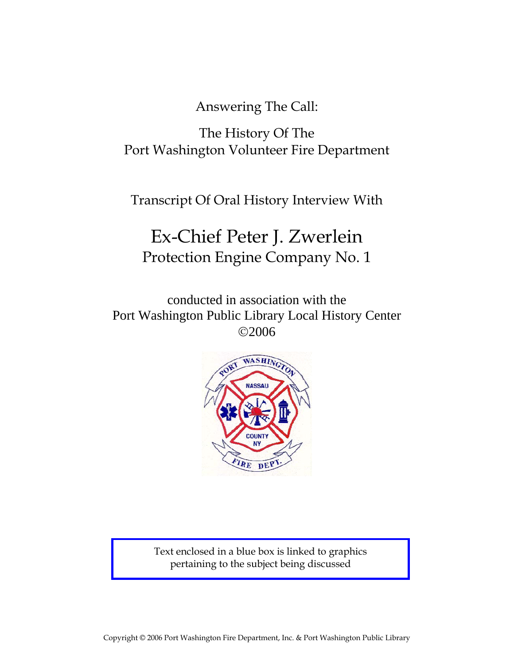Answering The Call:

The History Of The Port Washington Volunteer Fire Department

Transcript Of Oral History Interview With

# Ex-Chief Peter J. Zwerlein Protection Engine Company No. 1

conducted in association with the Port Washington Public Library Local History Center ©2006



Text enclosed in a blue box is linked to graphics pertaining to the subject being discussed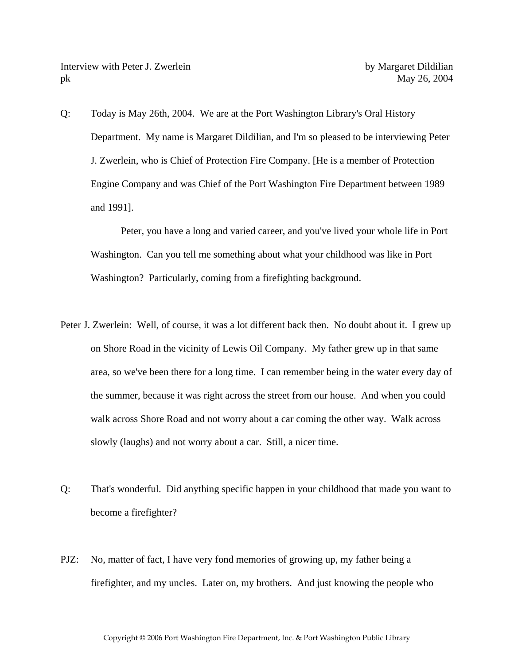Q: Today is May 26th, 2004. We are at the Port Washington Library's Oral History Department. My name is Margaret Dildilian, and I'm so pleased to be interviewing Peter J. Zwerlein, who is Chief of Protection Fire Company. [He is a member of Protection Engine Company and was Chief of the Port Washington Fire Department between 1989 and 1991].

 Peter, you have a long and varied career, and you've lived your whole life in Port Washington. Can you tell me something about what your childhood was like in Port Washington? Particularly, coming from a firefighting background.

- Peter J. Zwerlein: Well, of course, it was a lot different back then. No doubt about it. I grew up on Shore Road in the vicinity of Lewis Oil Company. My father grew up in that same area, so we've been there for a long time. I can remember being in the water every day of the summer, because it was right across the street from our house. And when you could walk across Shore Road and not worry about a car coming the other way. Walk across slowly (laughs) and not worry about a car. Still, a nicer time.
- Q: That's wonderful. Did anything specific happen in your childhood that made you want to become a firefighter?
- PJZ: No, matter of fact, I have very fond memories of growing up, my father being a firefighter, and my uncles. Later on, my brothers. And just knowing the people who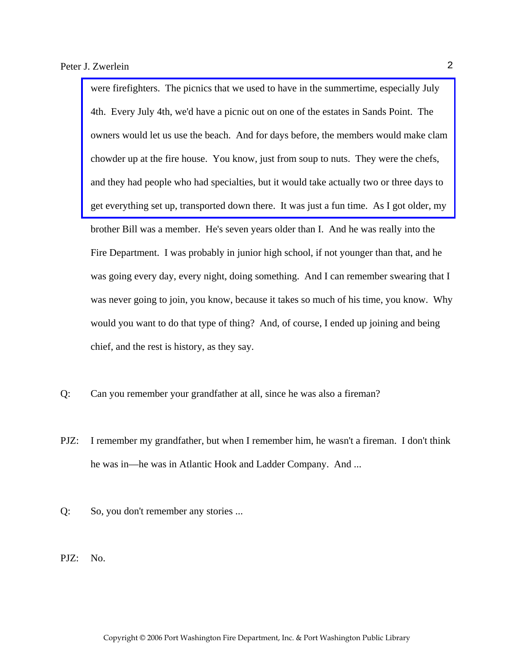were firefighters. The picnics that we used to have in the summertime, especially July 4th. Every July 4th, we'd have a picnic out on one of the estates in Sands Point. The [owners would let us use the beach. And for days before, the members would make clam](http://www.pwfdhistory.com/trans/zwerleinp_trans/fhh_picnic001_web.jpg)  chowder up at the fire house. You know, just from soup to nuts. They were the chefs, and they had people who had specialties, but it would take actually two or three days to get everything set up, transported down there. It was just a fun time. As I got older, my brother Bill was a member. He's seven years older than I. And he was really into the Fire Department. I was probably in junior high school, if not younger than that, and he was going every day, every night, doing something. And I can remember swearing that I was never going to join, you know, because it takes so much of his time, you know. Why would you want to do that type of thing? And, of course, I ended up joining and being chief, and the rest is history, as they say.

- Q: Can you remember your grandfather at all, since he was also a fireman?
- PJZ: I remember my grandfather, but when I remember him, he wasn't a fireman. I don't think he was in—he was in Atlantic Hook and Ladder Company. And ...
- Q: So, you don't remember any stories ...
- PJZ: No.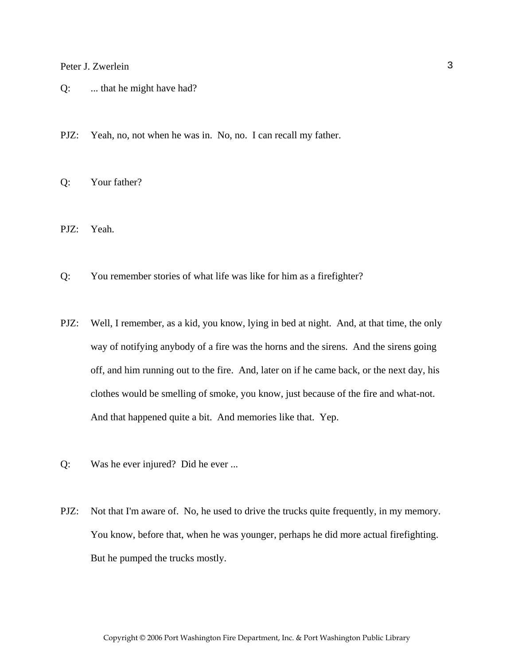- Q: ... that he might have had?
- PJZ: Yeah, no, not when he was in. No, no. I can recall my father.

Q: Your father?

PJZ: Yeah.

- Q: You remember stories of what life was like for him as a firefighter?
- PJZ: Well, I remember, as a kid, you know, lying in bed at night. And, at that time, the only way of notifying anybody of a fire was the horns and the sirens. And the sirens going off, and him running out to the fire. And, later on if he came back, or the next day, his clothes would be smelling of smoke, you know, just because of the fire and what-not. And that happened quite a bit. And memories like that. Yep.
- Q: Was he ever injured? Did he ever ...
- PJZ: Not that I'm aware of. No, he used to drive the trucks quite frequently, in my memory. You know, before that, when he was younger, perhaps he did more actual firefighting. But he pumped the trucks mostly.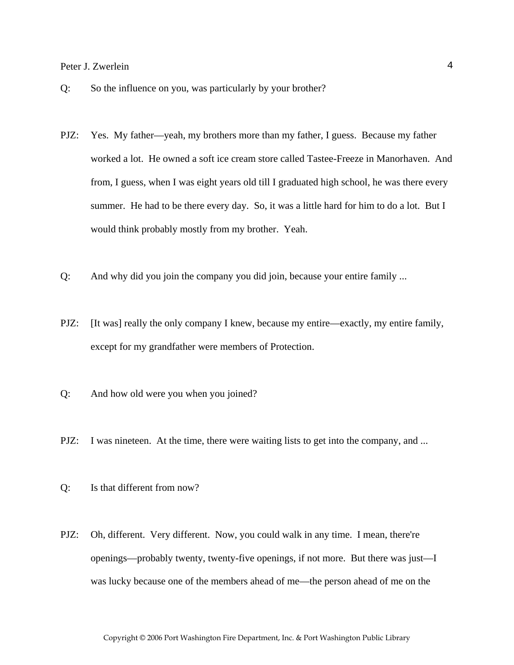- Q: So the influence on you, was particularly by your brother?
- PJZ: Yes. My father—yeah, my brothers more than my father, I guess. Because my father worked a lot. He owned a soft ice cream store called Tastee-Freeze in Manorhaven. And from, I guess, when I was eight years old till I graduated high school, he was there every summer. He had to be there every day. So, it was a little hard for him to do a lot. But I would think probably mostly from my brother. Yeah.
- Q: And why did you join the company you did join, because your entire family ...
- PJZ: [It was] really the only company I knew, because my entire—exactly, my entire family, except for my grandfather were members of Protection.
- Q: And how old were you when you joined?
- PJZ: I was nineteen. At the time, there were waiting lists to get into the company, and ...
- Q: Is that different from now?
- PJZ: Oh, different. Very different. Now, you could walk in any time. I mean, there're openings—probably twenty, twenty-five openings, if not more. But there was just—I was lucky because one of the members ahead of me—the person ahead of me on the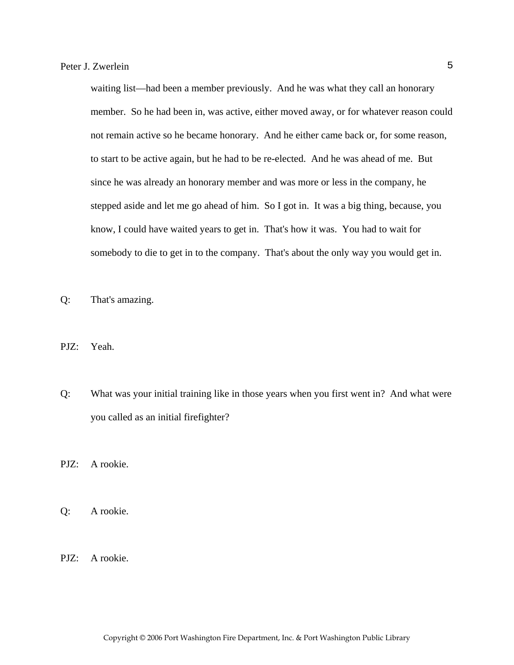waiting list—had been a member previously. And he was what they call an honorary member. So he had been in, was active, either moved away, or for whatever reason could not remain active so he became honorary. And he either came back or, for some reason, to start to be active again, but he had to be re-elected. And he was ahead of me. But since he was already an honorary member and was more or less in the company, he stepped aside and let me go ahead of him. So I got in. It was a big thing, because, you know, I could have waited years to get in. That's how it was. You had to wait for somebody to die to get in to the company. That's about the only way you would get in.

Q: That's amazing.

- PJZ: Yeah.
- Q: What was your initial training like in those years when you first went in? And what were you called as an initial firefighter?

PJZ: A rookie.

Q: A rookie.

PJZ: A rookie.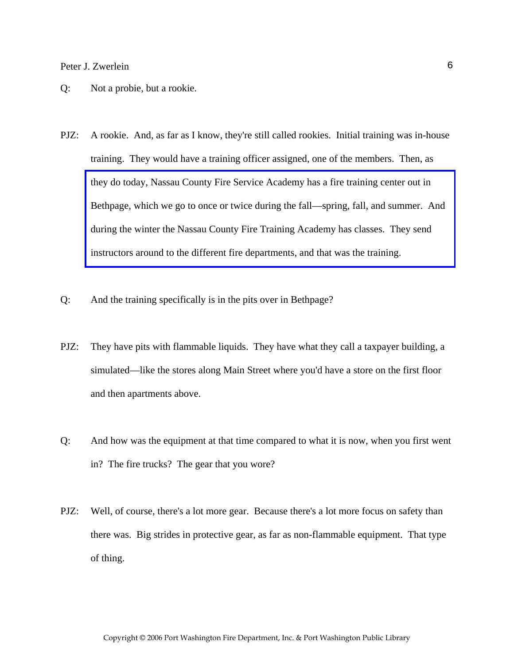- Q: Not a probie, but a rookie.
- PJZ: A rookie. And, as far as I know, they're still called rookies. Initial training was in-house training. They would have a training officer assigned, one of the members. Then, as they do today, Nassau County Fire Service Academy has a fire training center out in [Bethpage, which we go to once or twice during the fall—spring, fall, and summer. And](http://www.veebfsa.org)  during the winter the Nassau County Fire Training Academy has classes. They send instructors around to the different fire departments, and that was the training.
- Q: And the training specifically is in the pits over in Bethpage?
- PJZ: They have pits with flammable liquids. They have what they call a taxpayer building, a simulated—like the stores along Main Street where you'd have a store on the first floor and then apartments above.
- Q: And how was the equipment at that time compared to what it is now, when you first went in? The fire trucks? The gear that you wore?
- PJZ: Well, of course, there's a lot more gear. Because there's a lot more focus on safety than there was. Big strides in protective gear, as far as non-flammable equipment. That type of thing.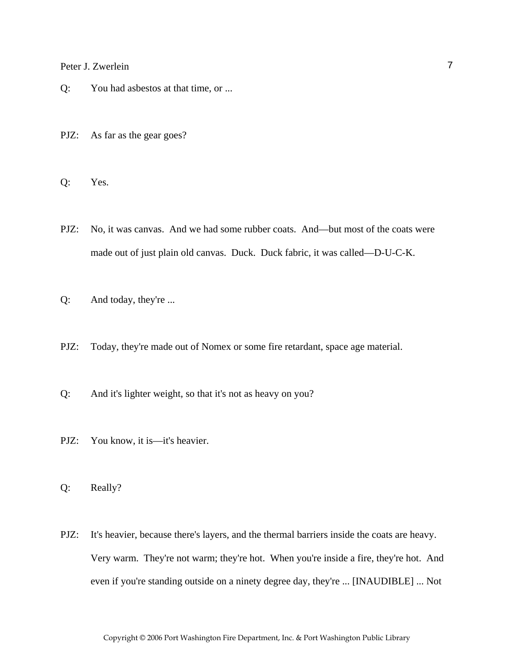- Q: You had asbestos at that time, or ...
- PJZ: As far as the gear goes?

Q: Yes.

- PJZ: No, it was canvas. And we had some rubber coats. And—but most of the coats were made out of just plain old canvas. Duck. Duck fabric, it was called—D-U-C-K.
- Q: And today, they're ...
- PJZ: Today, they're made out of Nomex or some fire retardant, space age material.
- Q: And it's lighter weight, so that it's not as heavy on you?
- PJZ: You know, it is—it's heavier.

Q: Really?

PJZ: It's heavier, because there's layers, and the thermal barriers inside the coats are heavy. Very warm. They're not warm; they're hot. When you're inside a fire, they're hot. And even if you're standing outside on a ninety degree day, they're ... [INAUDIBLE] ... Not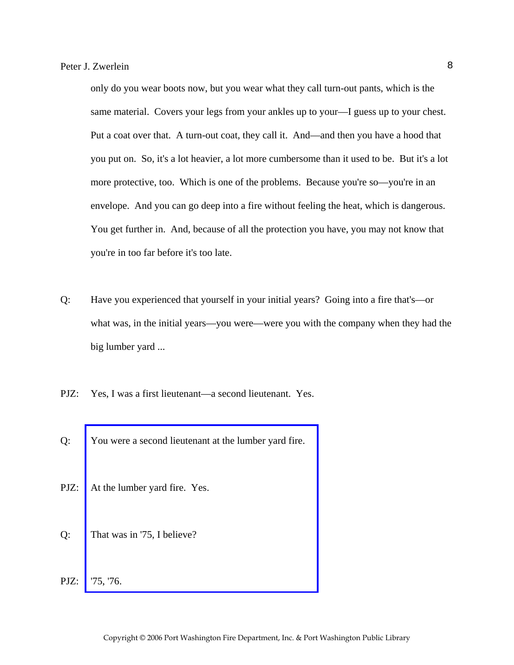only do you wear boots now, but you wear what they call turn-out pants, which is the same material. Covers your legs from your ankles up to your—I guess up to your chest. Put a coat over that. A turn-out coat, they call it. And—and then you have a hood that you put on. So, it's a lot heavier, a lot more cumbersome than it used to be. But it's a lot more protective, too. Which is one of the problems. Because you're so—you're in an envelope. And you can go deep into a fire without feeling the heat, which is dangerous. You get further in. And, because of all the protection you have, you may not know that you're in too far before it's too late.

- Q: Have you experienced that yourself in your initial years? Going into a fire that's—or what was, in the initial years—you were—were you with the company when they had the big lumber yard ...
- PJZ: Yes, I was a first lieutenant—a second lieutenant. Yes.
- Q: [You were a second lieutenant at the lumber yard fire.](http://www.pwfdhistory.com/trans/zwerleinp_trans/pwfd_news_lumberyd.pdf)
- PJZ: At the lumber yard fire. Yes.
- Q: That was in '75, I believe?
- PJZ: '75, '76.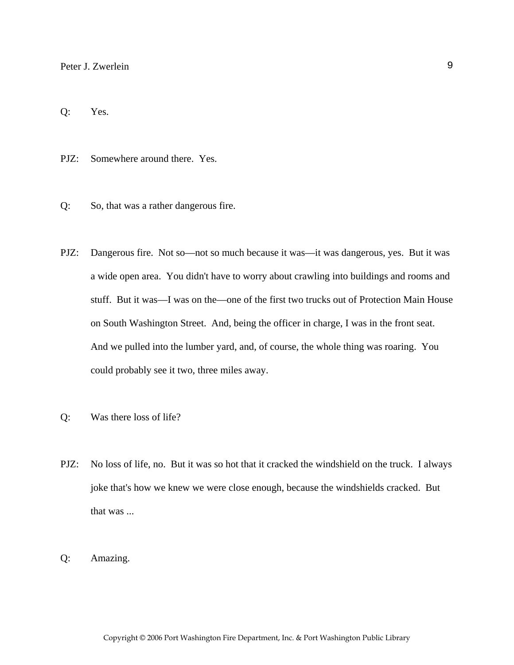Q: Yes.

PJZ: Somewhere around there. Yes.

- Q: So, that was a rather dangerous fire.
- PJZ: Dangerous fire. Not so—not so much because it was—it was dangerous, yes. But it was a wide open area. You didn't have to worry about crawling into buildings and rooms and stuff. But it was—I was on the—one of the first two trucks out of Protection Main House on South Washington Street. And, being the officer in charge, I was in the front seat. And we pulled into the lumber yard, and, of course, the whole thing was roaring. You could probably see it two, three miles away.
- Q: Was there loss of life?
- PJZ: No loss of life, no. But it was so hot that it cracked the windshield on the truck. I always joke that's how we knew we were close enough, because the windshields cracked. But that was ...
- Q: Amazing.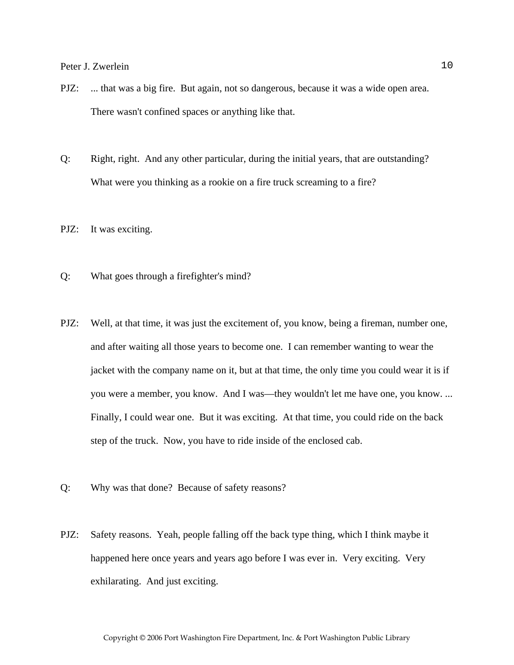- PJZ: ... that was a big fire. But again, not so dangerous, because it was a wide open area. There wasn't confined spaces or anything like that.
- Q: Right, right. And any other particular, during the initial years, that are outstanding? What were you thinking as a rookie on a fire truck screaming to a fire?
- PJZ: It was exciting.
- Q: What goes through a firefighter's mind?
- PJZ: Well, at that time, it was just the excitement of, you know, being a fireman, number one, and after waiting all those years to become one. I can remember wanting to wear the jacket with the company name on it, but at that time, the only time you could wear it is if you were a member, you know. And I was—they wouldn't let me have one, you know. ... Finally, I could wear one. But it was exciting. At that time, you could ride on the back step of the truck. Now, you have to ride inside of the enclosed cab.
- Q: Why was that done? Because of safety reasons?
- PJZ: Safety reasons. Yeah, people falling off the back type thing, which I think maybe it happened here once years and years ago before I was ever in. Very exciting. Very exhilarating. And just exciting.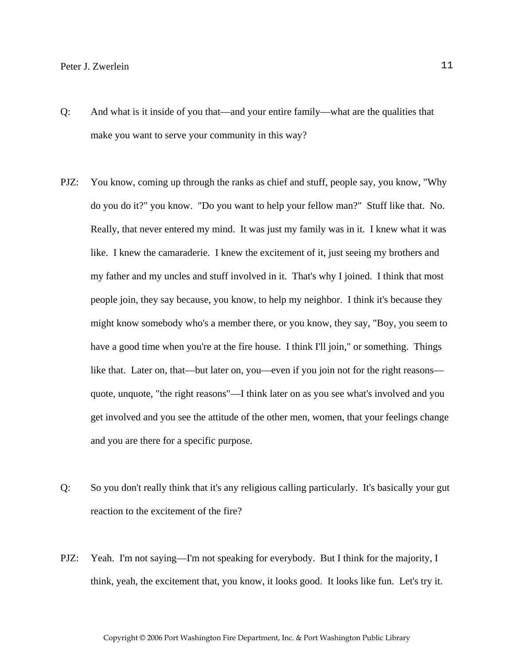- Q: And what is it inside of you that—and your entire family—what are the qualities that make you want to serve your community in this way?
- PJZ: You know, coming up through the ranks as chief and stuff, people say, you know, "Why do you do it?" you know. "Do you want to help your fellow man?" Stuff like that. No. Really, that never entered my mind. It was just my family was in it. I knew what it was like. I knew the camaraderie. I knew the excitement of it, just seeing my brothers and my father and my uncles and stuff involved in it. That's why I joined. I think that most people join, they say because, you know, to help my neighbor. I think it's because they might know somebody who's a member there, or you know, they say, "Boy, you seem to have a good time when you're at the fire house. I think I'll join," or something. Things like that. Later on, that—but later on, you—even if you join not for the right reasons quote, unquote, "the right reasons"—I think later on as you see what's involved and you get involved and you see the attitude of the other men, women, that your feelings change and you are there for a specific purpose.
- Q: So you don't really think that it's any religious calling particularly. It's basically your gut reaction to the excitement of the fire?
- PJZ: Yeah. I'm not saying—I'm not speaking for everybody. But I think for the majority, I think, yeah, the excitement that, you know, it looks good. It looks like fun. Let's try it.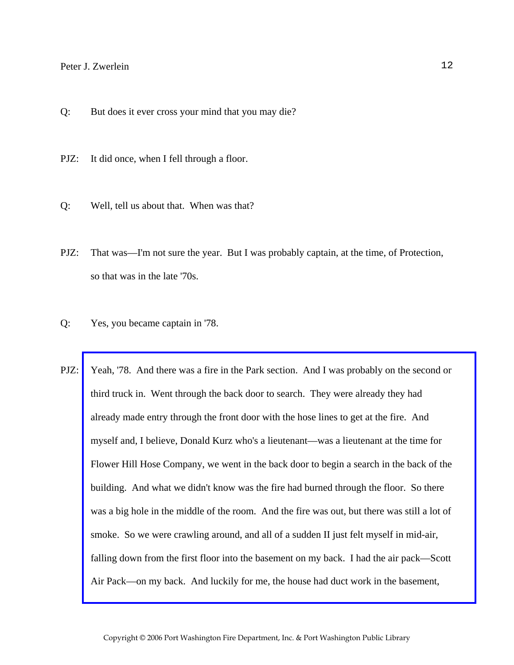- Q: But does it ever cross your mind that you may die?
- PJZ: It did once, when I fell through a floor.
- Q: Well, tell us about that. When was that?
- PJZ: That was—I'm not sure the year. But I was probably captain, at the time, of Protection, so that was in the late '70s.
- Q: Yes, you became captain in '78.
- PJZ: [Yeah, '78. And there was a fire in the Park section. And I was probably on the second or](http://www.pwfdhistory.com/trans/zwerleinp_trans/pnews_771208_hw.pdf)  third truck in. Went through the back door to search. They were already they had already made entry through the front door with the hose lines to get at the fire. And myself and, I believe, Donald Kurz who's a lieutenant—was a lieutenant at the time for Flower Hill Hose Company, we went in the back door to begin a search in the back of the building. And what we didn't know was the fire had burned through the floor. So there was a big hole in the middle of the room. And the fire was out, but there was still a lot of smoke. So we were crawling around, and all of a sudden II just felt myself in mid-air, falling down from the first floor into the basement on my back. I had the air pack—Scott Air Pack—on my back. And luckily for me, the house had duct work in the basement,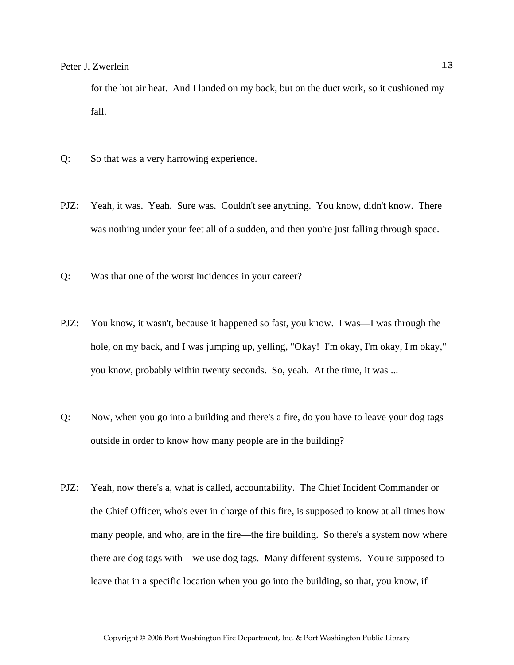for the hot air heat. And I landed on my back, but on the duct work, so it cushioned my fall.

- Q: So that was a very harrowing experience.
- PJZ: Yeah, it was. Yeah. Sure was. Couldn't see anything. You know, didn't know. There was nothing under your feet all of a sudden, and then you're just falling through space.
- Q: Was that one of the worst incidences in your career?
- PJZ: You know, it wasn't, because it happened so fast, you know. I was—I was through the hole, on my back, and I was jumping up, yelling, "Okay! I'm okay, I'm okay, I'm okay," you know, probably within twenty seconds. So, yeah. At the time, it was ...
- Q: Now, when you go into a building and there's a fire, do you have to leave your dog tags outside in order to know how many people are in the building?
- PJZ: Yeah, now there's a, what is called, accountability. The Chief Incident Commander or the Chief Officer, who's ever in charge of this fire, is supposed to know at all times how many people, and who, are in the fire—the fire building. So there's a system now where there are dog tags with—we use dog tags. Many different systems. You're supposed to leave that in a specific location when you go into the building, so that, you know, if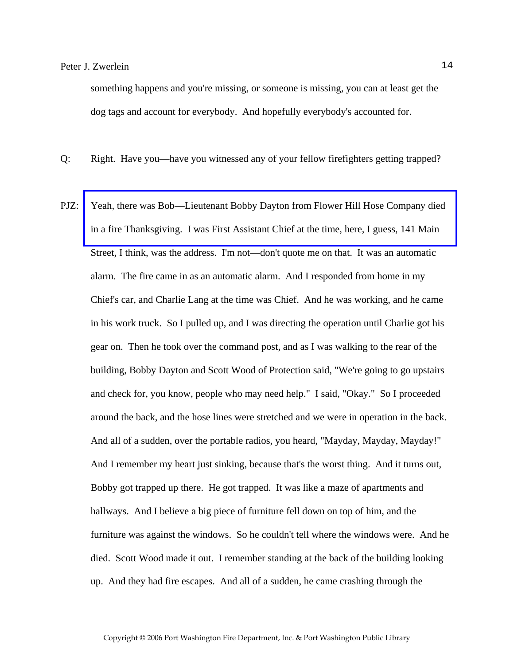something happens and you're missing, or someone is missing, you can at least get the dog tags and account for everybody. And hopefully everybody's accounted for.

Q: Right. Have you—have you witnessed any of your fellow firefighters getting trapped?

PJZ: [Yeah, there was Bob—Lieutenant Bobby Dayton from Flower Hill Hose Company died](http://www.pwfdhistory.com/trans/zwerleinp_trans/pnews881201_pz.pdf)  in a fire Thanksgiving. I was First Assistant Chief at the time, here, I guess, 141 Main Street, I think, was the address. I'm not—don't quote me on that. It was an automatic alarm. The fire came in as an automatic alarm. And I responded from home in my Chief's car, and Charlie Lang at the time was Chief. And he was working, and he came in his work truck. So I pulled up, and I was directing the operation until Charlie got his gear on. Then he took over the command post, and as I was walking to the rear of the building, Bobby Dayton and Scott Wood of Protection said, "We're going to go upstairs and check for, you know, people who may need help." I said, "Okay." So I proceeded around the back, and the hose lines were stretched and we were in operation in the back. And all of a sudden, over the portable radios, you heard, "Mayday, Mayday, Mayday!" And I remember my heart just sinking, because that's the worst thing. And it turns out, Bobby got trapped up there. He got trapped. It was like a maze of apartments and hallways. And I believe a big piece of furniture fell down on top of him, and the furniture was against the windows. So he couldn't tell where the windows were. And he died. Scott Wood made it out. I remember standing at the back of the building looking up. And they had fire escapes. And all of a sudden, he came crashing through the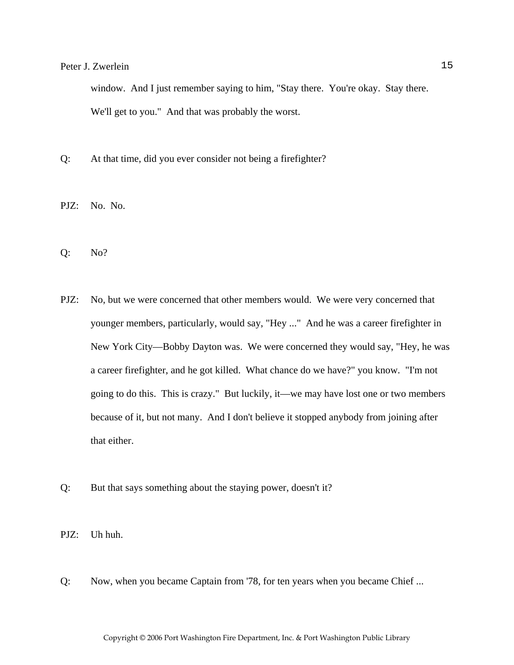window. And I just remember saying to him, "Stay there. You're okay. Stay there. We'll get to you." And that was probably the worst.

- Q: At that time, did you ever consider not being a firefighter?
- PJZ: No. No.
- Q: No?
- PJZ: No, but we were concerned that other members would. We were very concerned that younger members, particularly, would say, "Hey ..." And he was a career firefighter in New York City—Bobby Dayton was. We were concerned they would say, "Hey, he was a career firefighter, and he got killed. What chance do we have?" you know. "I'm not going to do this. This is crazy." But luckily, it—we may have lost one or two members because of it, but not many. And I don't believe it stopped anybody from joining after that either.
- Q: But that says something about the staying power, doesn't it?
- PJZ: Uh huh.
- Q: Now, when you became Captain from '78, for ten years when you became Chief ...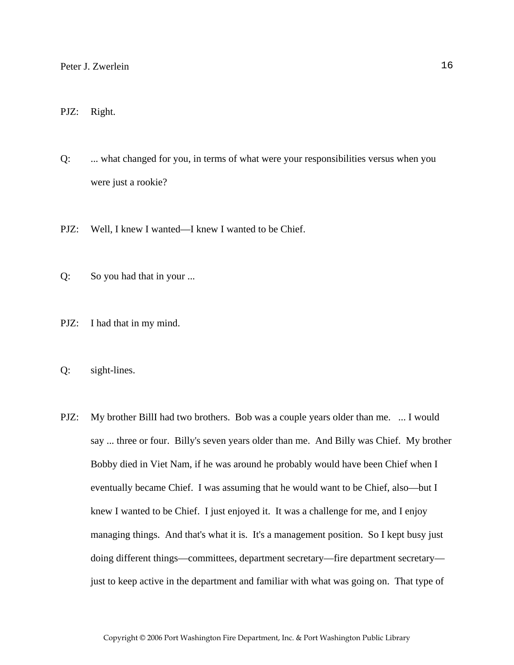#### PJZ: Right.

Q: ... what changed for you, in terms of what were your responsibilities versus when you were just a rookie?

PJZ: Well, I knew I wanted—I knew I wanted to be Chief.

- Q: So you had that in your ...
- PJZ: I had that in my mind.
- Q: sight-lines.
- PJZ: My brother BillI had two brothers. Bob was a couple years older than me. ... I would say ... three or four. Billy's seven years older than me. And Billy was Chief. My brother Bobby died in Viet Nam, if he was around he probably would have been Chief when I eventually became Chief. I was assuming that he would want to be Chief, also—but I knew I wanted to be Chief. I just enjoyed it. It was a challenge for me, and I enjoy managing things. And that's what it is. It's a management position. So I kept busy just doing different things—committees, department secretary—fire department secretary just to keep active in the department and familiar with what was going on. That type of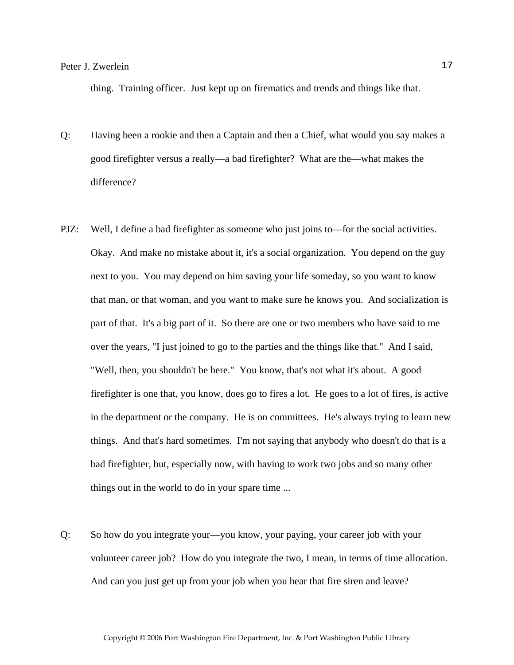thing. Training officer. Just kept up on firematics and trends and things like that.

- Q: Having been a rookie and then a Captain and then a Chief, what would you say makes a good firefighter versus a really—a bad firefighter? What are the—what makes the difference?
- PJZ: Well, I define a bad firefighter as someone who just joins to—for the social activities. Okay. And make no mistake about it, it's a social organization. You depend on the guy next to you. You may depend on him saving your life someday, so you want to know that man, or that woman, and you want to make sure he knows you. And socialization is part of that. It's a big part of it. So there are one or two members who have said to me over the years, "I just joined to go to the parties and the things like that." And I said, "Well, then, you shouldn't be here." You know, that's not what it's about. A good firefighter is one that, you know, does go to fires a lot. He goes to a lot of fires, is active in the department or the company. He is on committees. He's always trying to learn new things. And that's hard sometimes. I'm not saying that anybody who doesn't do that is a bad firefighter, but, especially now, with having to work two jobs and so many other things out in the world to do in your spare time ...
- Q: So how do you integrate your—you know, your paying, your career job with your volunteer career job? How do you integrate the two, I mean, in terms of time allocation. And can you just get up from your job when you hear that fire siren and leave?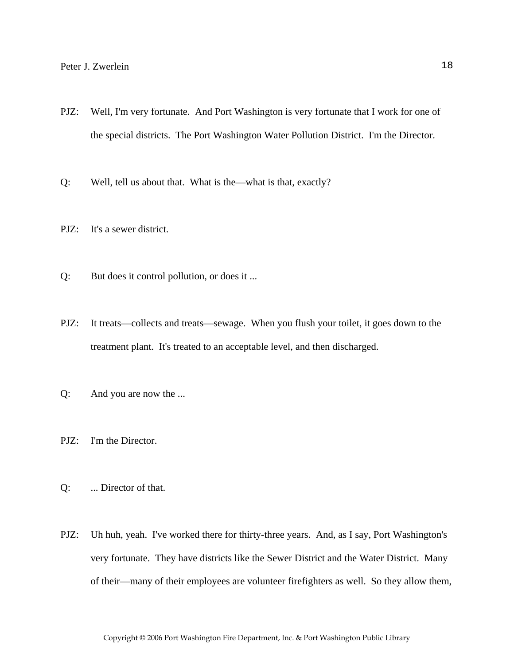- PJZ: Well, I'm very fortunate. And Port Washington is very fortunate that I work for one of the special districts. The Port Washington Water Pollution District. I'm the Director.
- Q: Well, tell us about that. What is the—what is that, exactly?
- PJZ: It's a sewer district.
- Q: But does it control pollution, or does it ...
- PJZ: It treats—collects and treats—sewage. When you flush your toilet, it goes down to the treatment plant. It's treated to an acceptable level, and then discharged.
- Q: And you are now the ...
- PJZ: I'm the Director.
- Q: ... Director of that.
- PJZ: Uh huh, yeah. I've worked there for thirty-three years. And, as I say, Port Washington's very fortunate. They have districts like the Sewer District and the Water District. Many of their—many of their employees are volunteer firefighters as well. So they allow them,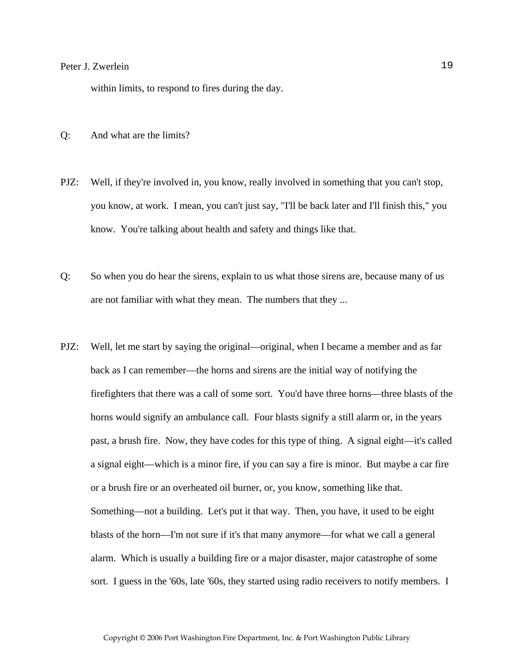within limits, to respond to fires during the day.

- Q: And what are the limits?
- PJZ: Well, if they're involved in, you know, really involved in something that you can't stop, you know, at work. I mean, you can't just say, "I'll be back later and I'll finish this," you know. You're talking about health and safety and things like that.
- Q: So when you do hear the sirens, explain to us what those sirens are, because many of us are not familiar with what they mean. The numbers that they ...
- PJZ: Well, let me start by saying the original—original, when I became a member and as far back as I can remember—the horns and sirens are the initial way of notifying the firefighters that there was a call of some sort. You'd have three horns—three blasts of the horns would signify an ambulance call. Four blasts signify a still alarm or, in the years past, a brush fire. Now, they have codes for this type of thing. A signal eight—it's called a signal eight—which is a minor fire, if you can say a fire is minor. But maybe a car fire or a brush fire or an overheated oil burner, or, you know, something like that. Something—not a building. Let's put it that way. Then, you have, it used to be eight blasts of the horn—I'm not sure if it's that many anymore—for what we call a general alarm. Which is usually a building fire or a major disaster, major catastrophe of some sort. I guess in the '60s, late '60s, they started using radio receivers to notify members. I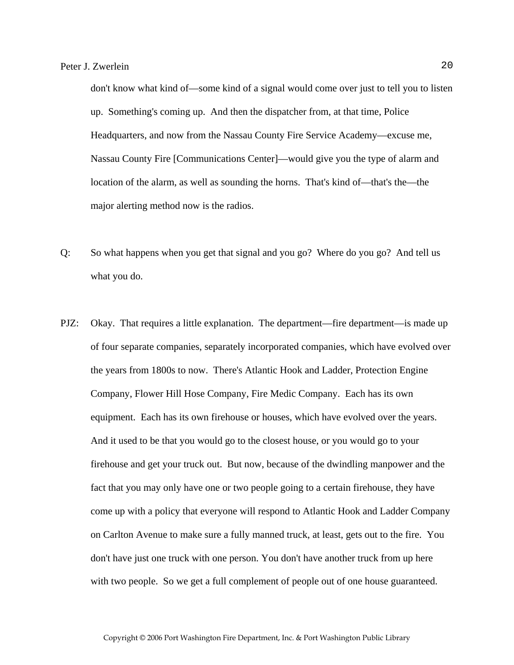don't know what kind of—some kind of a signal would come over just to tell you to listen up. Something's coming up. And then the dispatcher from, at that time, Police Headquarters, and now from the Nassau County Fire Service Academy—excuse me, Nassau County Fire [Communications Center]—would give you the type of alarm and location of the alarm, as well as sounding the horns. That's kind of—that's the—the major alerting method now is the radios.

- Q: So what happens when you get that signal and you go? Where do you go? And tell us what you do.
- PJZ: Okay. That requires a little explanation. The department—fire department—is made up of four separate companies, separately incorporated companies, which have evolved over the years from 1800s to now. There's Atlantic Hook and Ladder, Protection Engine Company, Flower Hill Hose Company, Fire Medic Company. Each has its own equipment. Each has its own firehouse or houses, which have evolved over the years. And it used to be that you would go to the closest house, or you would go to your firehouse and get your truck out. But now, because of the dwindling manpower and the fact that you may only have one or two people going to a certain firehouse, they have come up with a policy that everyone will respond to Atlantic Hook and Ladder Company on Carlton Avenue to make sure a fully manned truck, at least, gets out to the fire. You don't have just one truck with one person. You don't have another truck from up here with two people. So we get a full complement of people out of one house guaranteed.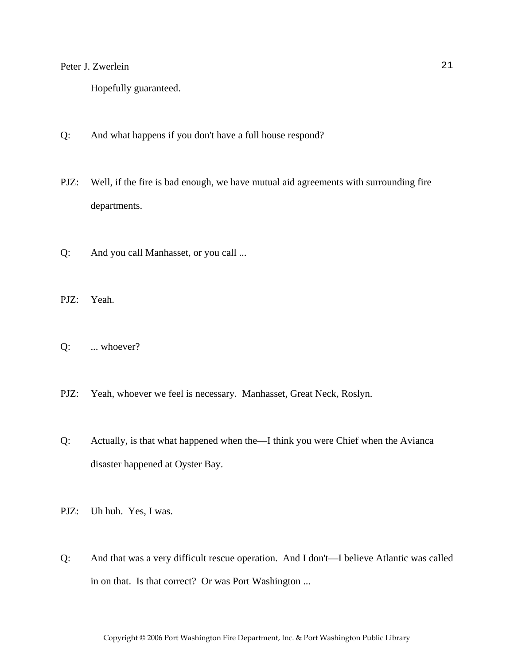Hopefully guaranteed.

- Q: And what happens if you don't have a full house respond?
- PJZ: Well, if the fire is bad enough, we have mutual aid agreements with surrounding fire departments.
- Q: And you call Manhasset, or you call ...
- PJZ: Yeah.
- Q: ... whoever?
- PJZ: Yeah, whoever we feel is necessary. Manhasset, Great Neck, Roslyn.
- Q: Actually, is that what happened when the—I think you were Chief when the Avianca disaster happened at Oyster Bay.
- PJZ: Uh huh. Yes, I was.
- Q: And that was a very difficult rescue operation. And I don't—I believe Atlantic was called in on that. Is that correct? Or was Port Washington ...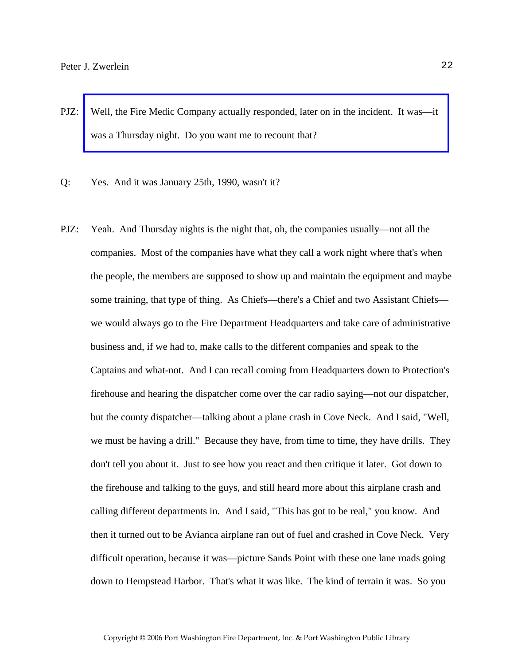- PJZ: [Well, the Fire Medic Company actually responded, later on in the incident. It was—it](http://www.pwfdhistory.com/trans/zwerleinp_trans/pnews_avianca_pz.pdf)  was a Thursday night. Do you want me to recount that?
- Q: Yes. And it was January 25th, 1990, wasn't it?
- PJZ: Yeah. And Thursday nights is the night that, oh, the companies usually—not all the companies. Most of the companies have what they call a work night where that's when the people, the members are supposed to show up and maintain the equipment and maybe some training, that type of thing. As Chiefs—there's a Chief and two Assistant Chiefs we would always go to the Fire Department Headquarters and take care of administrative business and, if we had to, make calls to the different companies and speak to the Captains and what-not. And I can recall coming from Headquarters down to Protection's firehouse and hearing the dispatcher come over the car radio saying—not our dispatcher, but the county dispatcher—talking about a plane crash in Cove Neck. And I said, "Well, we must be having a drill." Because they have, from time to time, they have drills. They don't tell you about it. Just to see how you react and then critique it later. Got down to the firehouse and talking to the guys, and still heard more about this airplane crash and calling different departments in. And I said, "This has got to be real," you know. And then it turned out to be Avianca airplane ran out of fuel and crashed in Cove Neck. Very difficult operation, because it was—picture Sands Point with these one lane roads going down to Hempstead Harbor. That's what it was like. The kind of terrain it was. So you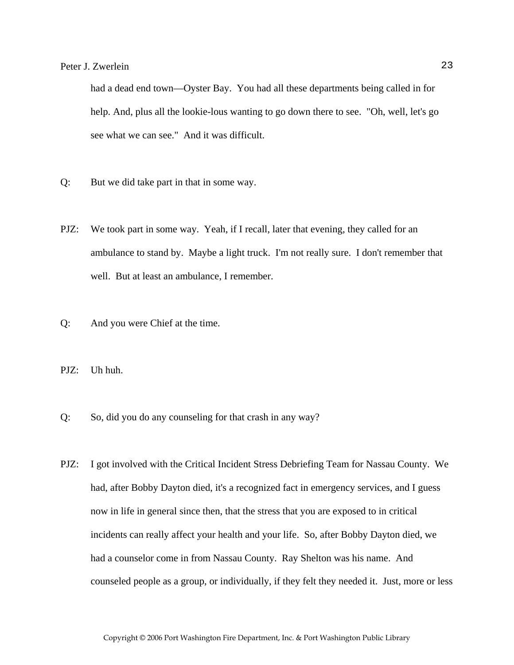had a dead end town—Oyster Bay. You had all these departments being called in for help. And, plus all the lookie-lous wanting to go down there to see. "Oh, well, let's go see what we can see." And it was difficult.

- Q: But we did take part in that in some way.
- PJZ: We took part in some way. Yeah, if I recall, later that evening, they called for an ambulance to stand by. Maybe a light truck. I'm not really sure. I don't remember that well. But at least an ambulance, I remember.
- Q: And you were Chief at the time.

PJZ: Uh huh.

- Q: So, did you do any counseling for that crash in any way?
- PJZ: I got involved with the Critical Incident Stress Debriefing Team for Nassau County. We had, after Bobby Dayton died, it's a recognized fact in emergency services, and I guess now in life in general since then, that the stress that you are exposed to in critical incidents can really affect your health and your life. So, after Bobby Dayton died, we had a counselor come in from Nassau County. Ray Shelton was his name. And counseled people as a group, or individually, if they felt they needed it. Just, more or less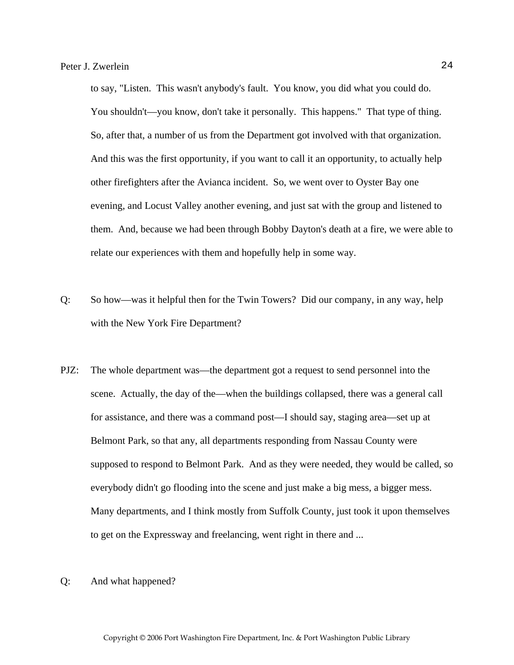to say, "Listen. This wasn't anybody's fault. You know, you did what you could do. You shouldn't—you know, don't take it personally. This happens." That type of thing. So, after that, a number of us from the Department got involved with that organization. And this was the first opportunity, if you want to call it an opportunity, to actually help other firefighters after the Avianca incident. So, we went over to Oyster Bay one evening, and Locust Valley another evening, and just sat with the group and listened to them. And, because we had been through Bobby Dayton's death at a fire, we were able to relate our experiences with them and hopefully help in some way.

- Q: So how—was it helpful then for the Twin Towers? Did our company, in any way, help with the New York Fire Department?
- PJZ: The whole department was—the department got a request to send personnel into the scene. Actually, the day of the—when the buildings collapsed, there was a general call for assistance, and there was a command post—I should say, staging area—set up at Belmont Park, so that any, all departments responding from Nassau County were supposed to respond to Belmont Park. And as they were needed, they would be called, so everybody didn't go flooding into the scene and just make a big mess, a bigger mess. Many departments, and I think mostly from Suffolk County, just took it upon themselves to get on the Expressway and freelancing, went right in there and ...
- Q: And what happened?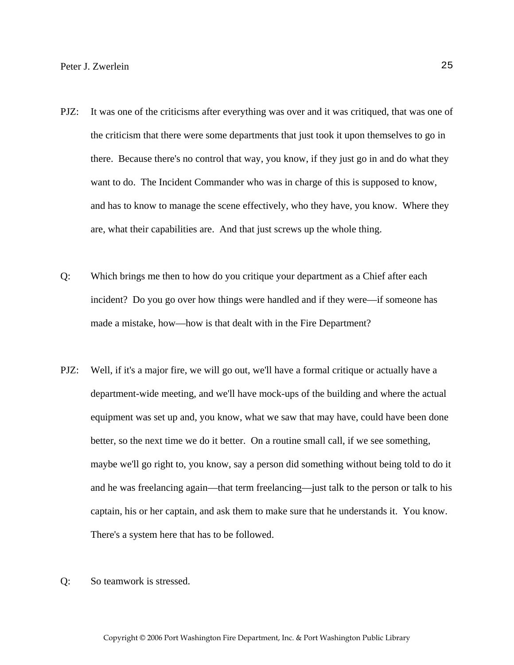- PJZ: It was one of the criticisms after everything was over and it was critiqued, that was one of the criticism that there were some departments that just took it upon themselves to go in there. Because there's no control that way, you know, if they just go in and do what they want to do. The Incident Commander who was in charge of this is supposed to know, and has to know to manage the scene effectively, who they have, you know. Where they are, what their capabilities are. And that just screws up the whole thing.
- Q: Which brings me then to how do you critique your department as a Chief after each incident? Do you go over how things were handled and if they were—if someone has made a mistake, how—how is that dealt with in the Fire Department?
- PJZ: Well, if it's a major fire, we will go out, we'll have a formal critique or actually have a department-wide meeting, and we'll have mock-ups of the building and where the actual equipment was set up and, you know, what we saw that may have, could have been done better, so the next time we do it better. On a routine small call, if we see something, maybe we'll go right to, you know, say a person did something without being told to do it and he was freelancing again—that term freelancing—just talk to the person or talk to his captain, his or her captain, and ask them to make sure that he understands it. You know. There's a system here that has to be followed.
- Q: So teamwork is stressed.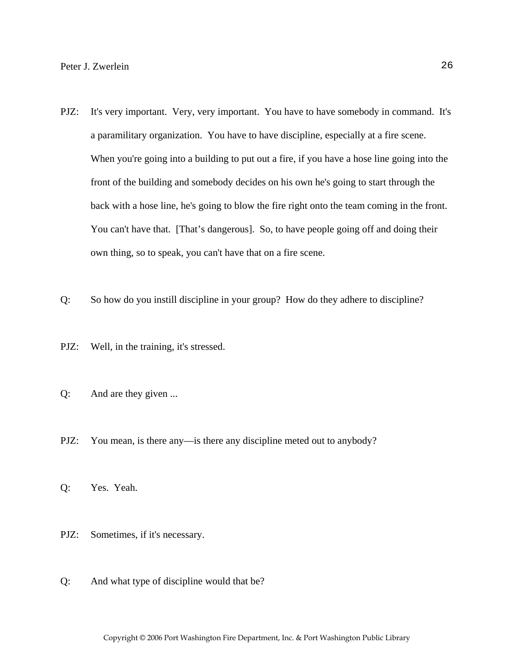- PJZ: It's very important. Very, very important. You have to have somebody in command. It's a paramilitary organization. You have to have discipline, especially at a fire scene. When you're going into a building to put out a fire, if you have a hose line going into the front of the building and somebody decides on his own he's going to start through the back with a hose line, he's going to blow the fire right onto the team coming in the front. You can't have that. [That's dangerous]. So, to have people going off and doing their own thing, so to speak, you can't have that on a fire scene.
- Q: So how do you instill discipline in your group? How do they adhere to discipline?
- PJZ: Well, in the training, it's stressed.
- Q: And are they given ...
- PJZ: You mean, is there any—is there any discipline meted out to anybody?
- Q: Yes. Yeah.
- PJZ: Sometimes, if it's necessary.
- Q: And what type of discipline would that be?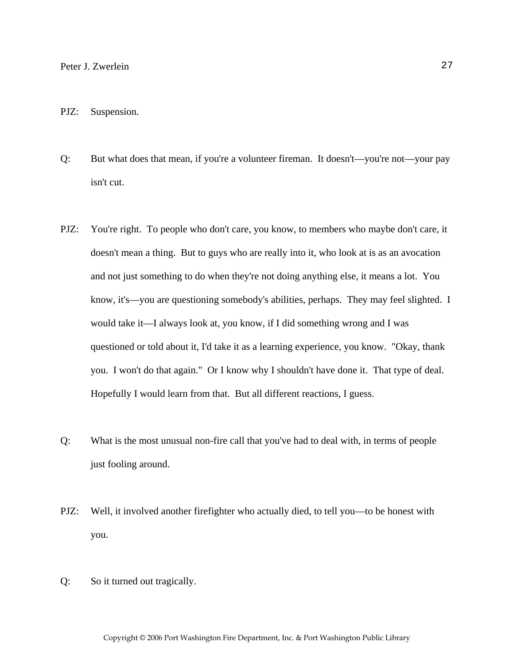#### PJZ: Suspension.

- Q: But what does that mean, if you're a volunteer fireman. It doesn't—you're not—your pay isn't cut.
- PJZ: You're right. To people who don't care, you know, to members who maybe don't care, it doesn't mean a thing. But to guys who are really into it, who look at is as an avocation and not just something to do when they're not doing anything else, it means a lot. You know, it's—you are questioning somebody's abilities, perhaps. They may feel slighted. I would take it—I always look at, you know, if I did something wrong and I was questioned or told about it, I'd take it as a learning experience, you know. "Okay, thank you. I won't do that again." Or I know why I shouldn't have done it. That type of deal. Hopefully I would learn from that. But all different reactions, I guess.
- Q: What is the most unusual non-fire call that you've had to deal with, in terms of people just fooling around.
- PJZ: Well, it involved another firefighter who actually died, to tell you—to be honest with you.
- Q: So it turned out tragically.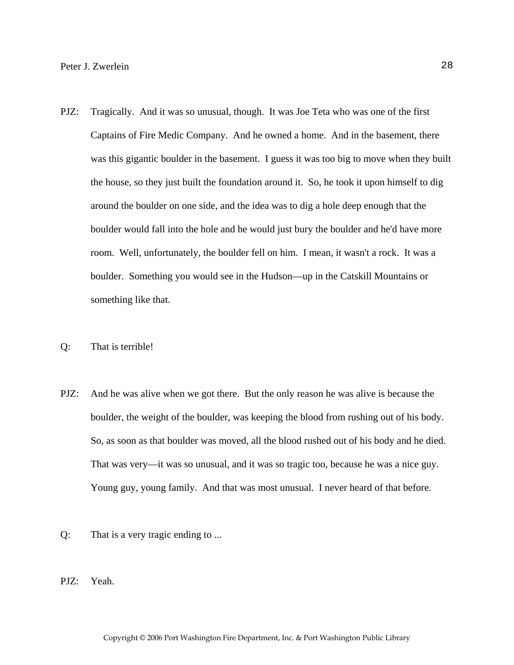- PJZ: Tragically. And it was so unusual, though. It was Joe Teta who was one of the first Captains of Fire Medic Company. And he owned a home. And in the basement, there was this gigantic boulder in the basement. I guess it was too big to move when they built the house, so they just built the foundation around it. So, he took it upon himself to dig around the boulder on one side, and the idea was to dig a hole deep enough that the boulder would fall into the hole and he would just bury the boulder and he'd have more room. Well, unfortunately, the boulder fell on him. I mean, it wasn't a rock. It was a boulder. Something you would see in the Hudson—up in the Catskill Mountains or something like that.
- Q: That is terrible!
- PJZ: And he was alive when we got there. But the only reason he was alive is because the boulder, the weight of the boulder, was keeping the blood from rushing out of his body. So, as soon as that boulder was moved, all the blood rushed out of his body and he died. That was very—it was so unusual, and it was so tragic too, because he was a nice guy. Young guy, young family. And that was most unusual. I never heard of that before.
- Q: That is a very tragic ending to ...
- PJZ: Yeah.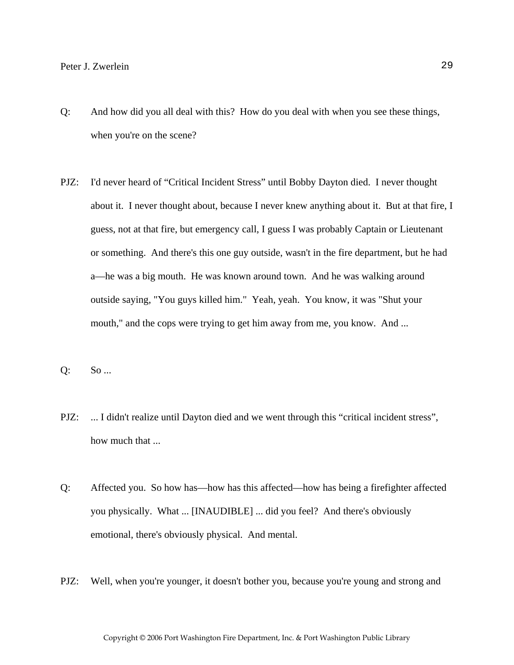- Q: And how did you all deal with this? How do you deal with when you see these things, when you're on the scene?
- PJZ: I'd never heard of "Critical Incident Stress" until Bobby Dayton died. I never thought about it. I never thought about, because I never knew anything about it. But at that fire, I guess, not at that fire, but emergency call, I guess I was probably Captain or Lieutenant or something. And there's this one guy outside, wasn't in the fire department, but he had a—he was a big mouth. He was known around town. And he was walking around outside saying, "You guys killed him." Yeah, yeah. You know, it was "Shut your mouth," and the cops were trying to get him away from me, you know. And ...

Q: So ...

- PJZ: ... I didn't realize until Dayton died and we went through this "critical incident stress", how much that ...
- Q: Affected you. So how has—how has this affected—how has being a firefighter affected you physically. What ... [INAUDIBLE] ... did you feel? And there's obviously emotional, there's obviously physical. And mental.
- PJZ: Well, when you're younger, it doesn't bother you, because you're young and strong and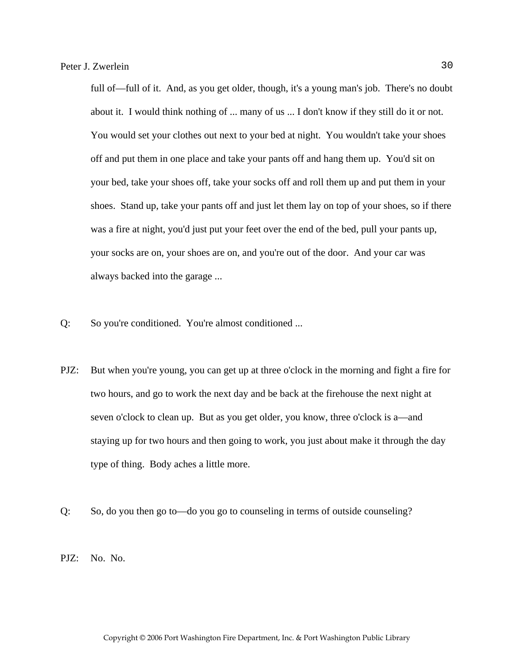full of—full of it. And, as you get older, though, it's a young man's job. There's no doubt about it. I would think nothing of ... many of us ... I don't know if they still do it or not. You would set your clothes out next to your bed at night. You wouldn't take your shoes off and put them in one place and take your pants off and hang them up. You'd sit on your bed, take your shoes off, take your socks off and roll them up and put them in your shoes. Stand up, take your pants off and just let them lay on top of your shoes, so if there was a fire at night, you'd just put your feet over the end of the bed, pull your pants up, your socks are on, your shoes are on, and you're out of the door. And your car was always backed into the garage ...

- Q: So you're conditioned. You're almost conditioned ...
- PJZ: But when you're young, you can get up at three o'clock in the morning and fight a fire for two hours, and go to work the next day and be back at the firehouse the next night at seven o'clock to clean up. But as you get older, you know, three o'clock is a—and staying up for two hours and then going to work, you just about make it through the day type of thing. Body aches a little more.
- Q: So, do you then go to—do you go to counseling in terms of outside counseling?

PJZ: No. No.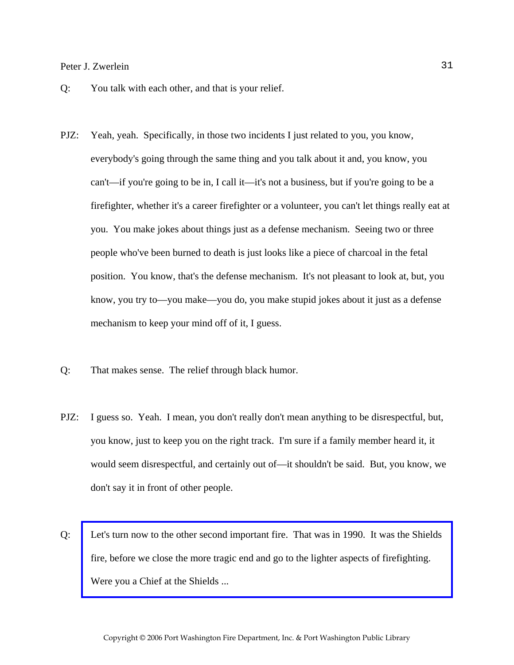- Q: You talk with each other, and that is your relief.
- PJZ: Yeah, yeah. Specifically, in those two incidents I just related to you, you know, everybody's going through the same thing and you talk about it and, you know, you can't—if you're going to be in, I call it—it's not a business, but if you're going to be a firefighter, whether it's a career firefighter or a volunteer, you can't let things really eat at you. You make jokes about things just as a defense mechanism. Seeing two or three people who've been burned to death is just looks like a piece of charcoal in the fetal position. You know, that's the defense mechanism. It's not pleasant to look at, but, you know, you try to—you make—you do, you make stupid jokes about it just as a defense mechanism to keep your mind off of it, I guess.
- Q: That makes sense. The relief through black humor.
- PJZ: I guess so. Yeah. I mean, you don't really don't mean anything to be disrespectful, but, you know, just to keep you on the right track. I'm sure if a family member heard it, it would seem disrespectful, and certainly out of—it shouldn't be said. But, you know, we don't say it in front of other people.
- Q: [Let's turn now to the other second important fire. That was in 1990. It was the Shields](http://www.pwfdhistory.com/trans/zwerleinp_trans/shieldshdw_pz.pdf)  fire, before we close the more tragic end and go to the lighter aspects of firefighting. Were you a Chief at the Shields ...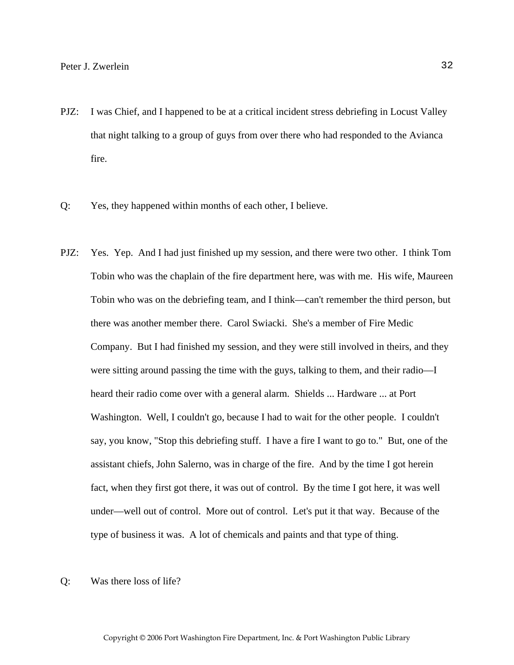- PJZ: I was Chief, and I happened to be at a critical incident stress debriefing in Locust Valley that night talking to a group of guys from over there who had responded to the Avianca fire.
- Q: Yes, they happened within months of each other, I believe.
- PJZ: Yes. Yep. And I had just finished up my session, and there were two other. I think Tom Tobin who was the chaplain of the fire department here, was with me. His wife, Maureen Tobin who was on the debriefing team, and I think—can't remember the third person, but there was another member there. Carol Swiacki. She's a member of Fire Medic Company. But I had finished my session, and they were still involved in theirs, and they were sitting around passing the time with the guys, talking to them, and their radio—I heard their radio come over with a general alarm. Shields ... Hardware ... at Port Washington. Well, I couldn't go, because I had to wait for the other people. I couldn't say, you know, "Stop this debriefing stuff. I have a fire I want to go to." But, one of the assistant chiefs, John Salerno, was in charge of the fire. And by the time I got herein fact, when they first got there, it was out of control. By the time I got here, it was well under—well out of control. More out of control. Let's put it that way. Because of the type of business it was. A lot of chemicals and paints and that type of thing.
- Q: Was there loss of life?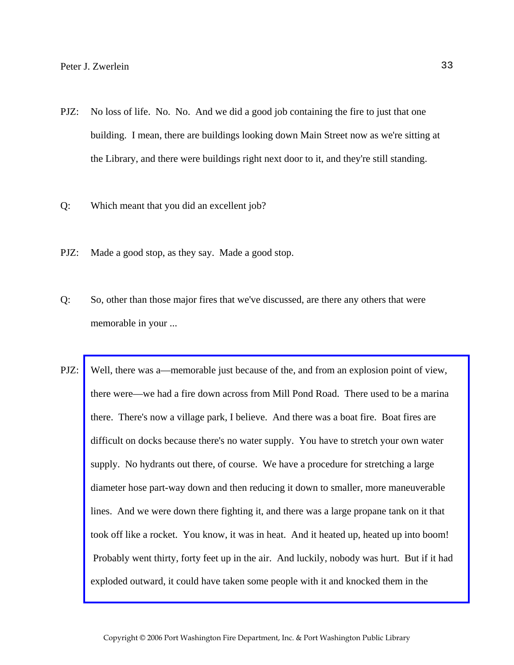- PJZ: No loss of life. No. No. And we did a good job containing the fire to just that one building. I mean, there are buildings looking down Main Street now as we're sitting at the Library, and there were buildings right next door to it, and they're still standing.
- Q: Which meant that you did an excellent job?
- PJZ: Made a good stop, as they say. Made a good stop.
- Q: So, other than those major fires that we've discussed, are there any others that were memorable in your ...
- PJZ: [Well, there was a—memorable just because of the, and from an explosion point of view,](http://www.pwfdhistory.com/trans/zwerleinp_trans/peco_fires004_web.jpg)  there were—we had a fire down across from Mill Pond Road. There used to be a marina there. There's now a village park, I believe. And there was a boat fire. Boat fires are difficult on docks because there's no water supply. You have to stretch your own water supply. No hydrants out there, of course. We have a procedure for stretching a large diameter hose part-way down and then reducing it down to smaller, more maneuverable lines. And we were down there fighting it, and there was a large propane tank on it that took off like a rocket. You know, it was in heat. And it heated up, heated up into boom! Probably went thirty, forty feet up in the air. And luckily, nobody was hurt. But if it had exploded outward, it could have taken some people with it and knocked them in the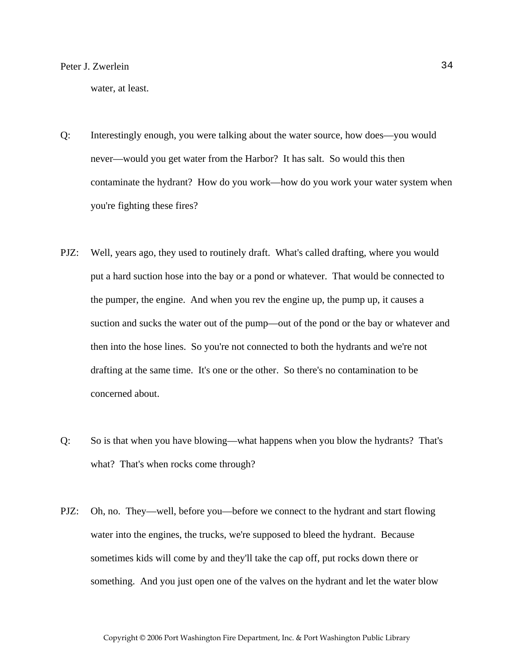water, at least.

- Q: Interestingly enough, you were talking about the water source, how does—you would never—would you get water from the Harbor? It has salt. So would this then contaminate the hydrant? How do you work—how do you work your water system when you're fighting these fires?
- PJZ: Well, years ago, they used to routinely draft. What's called drafting, where you would put a hard suction hose into the bay or a pond or whatever. That would be connected to the pumper, the engine. And when you rev the engine up, the pump up, it causes a suction and sucks the water out of the pump—out of the pond or the bay or whatever and then into the hose lines. So you're not connected to both the hydrants and we're not drafting at the same time. It's one or the other. So there's no contamination to be concerned about.
- Q: So is that when you have blowing—what happens when you blow the hydrants? That's what? That's when rocks come through?
- PJZ: Oh, no. They—well, before you—before we connect to the hydrant and start flowing water into the engines, the trucks, we're supposed to bleed the hydrant. Because sometimes kids will come by and they'll take the cap off, put rocks down there or something. And you just open one of the valves on the hydrant and let the water blow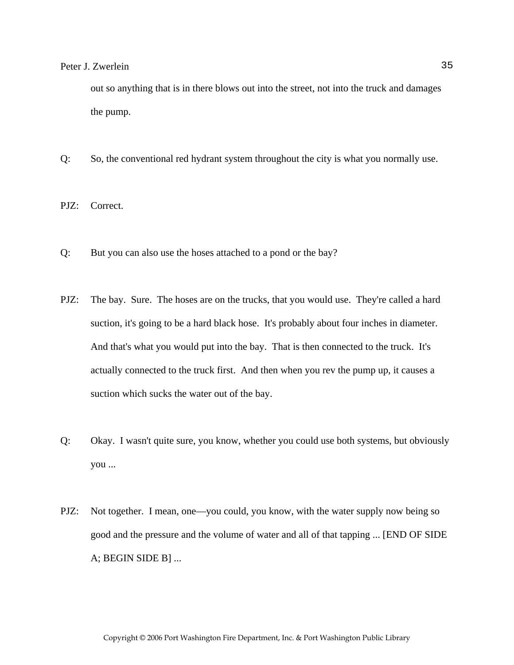out so anything that is in there blows out into the street, not into the truck and damages the pump.

- Q: So, the conventional red hydrant system throughout the city is what you normally use.
- PJZ: Correct.
- Q: But you can also use the hoses attached to a pond or the bay?
- PJZ: The bay. Sure. The hoses are on the trucks, that you would use. They're called a hard suction, it's going to be a hard black hose. It's probably about four inches in diameter. And that's what you would put into the bay. That is then connected to the truck. It's actually connected to the truck first. And then when you rev the pump up, it causes a suction which sucks the water out of the bay.
- Q: Okay. I wasn't quite sure, you know, whether you could use both systems, but obviously you ...
- PJZ: Not together. I mean, one—you could, you know, with the water supply now being so good and the pressure and the volume of water and all of that tapping ... [END OF SIDE A; BEGIN SIDE B] ...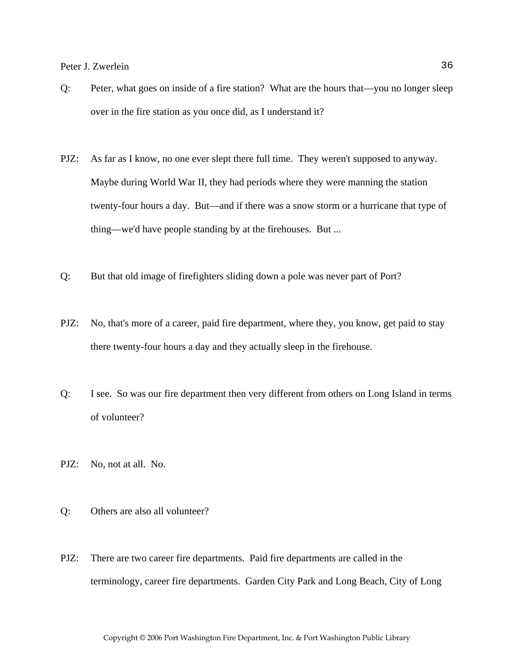- Q: Peter, what goes on inside of a fire station? What are the hours that—you no longer sleep over in the fire station as you once did, as I understand it?
- PJZ: As far as I know, no one ever slept there full time. They weren't supposed to anyway. Maybe during World War II, they had periods where they were manning the station twenty-four hours a day. But—and if there was a snow storm or a hurricane that type of thing—we'd have people standing by at the firehouses. But ...
- Q: But that old image of firefighters sliding down a pole was never part of Port?
- PJZ: No, that's more of a career, paid fire department, where they, you know, get paid to stay there twenty-four hours a day and they actually sleep in the firehouse.
- Q: I see. So was our fire department then very different from others on Long Island in terms of volunteer?
- PJZ: No, not at all. No.
- Q: Others are also all volunteer?
- PJZ: There are two career fire departments. Paid fire departments are called in the terminology, career fire departments. Garden City Park and Long Beach, City of Long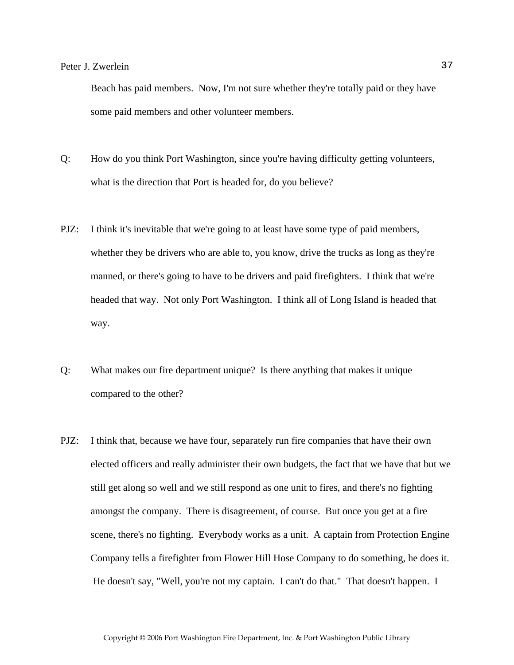Beach has paid members. Now, I'm not sure whether they're totally paid or they have some paid members and other volunteer members.

- Q: How do you think Port Washington, since you're having difficulty getting volunteers, what is the direction that Port is headed for, do you believe?
- PJZ: I think it's inevitable that we're going to at least have some type of paid members, whether they be drivers who are able to, you know, drive the trucks as long as they're manned, or there's going to have to be drivers and paid firefighters. I think that we're headed that way. Not only Port Washington. I think all of Long Island is headed that way.
- Q: What makes our fire department unique? Is there anything that makes it unique compared to the other?
- PJZ: I think that, because we have four, separately run fire companies that have their own elected officers and really administer their own budgets, the fact that we have that but we still get along so well and we still respond as one unit to fires, and there's no fighting amongst the company. There is disagreement, of course. But once you get at a fire scene, there's no fighting. Everybody works as a unit. A captain from Protection Engine Company tells a firefighter from Flower Hill Hose Company to do something, he does it. He doesn't say, "Well, you're not my captain. I can't do that." That doesn't happen. I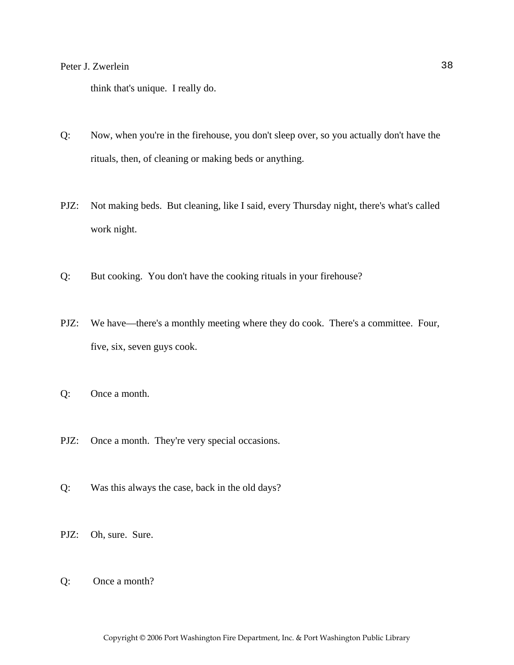think that's unique. I really do.

- Q: Now, when you're in the firehouse, you don't sleep over, so you actually don't have the rituals, then, of cleaning or making beds or anything.
- PJZ: Not making beds. But cleaning, like I said, every Thursday night, there's what's called work night.
- Q: But cooking. You don't have the cooking rituals in your firehouse?
- PJZ: We have—there's a monthly meeting where they do cook. There's a committee. Four, five, six, seven guys cook.
- Q: Once a month.
- PJZ: Once a month. They're very special occasions.
- Q: Was this always the case, back in the old days?
- PJZ: Oh, sure. Sure.
- Q: Once a month?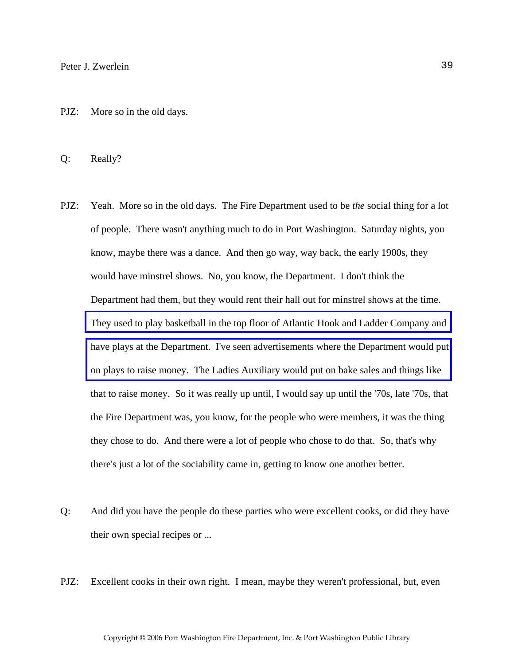PJZ: More so in the old days.

Q: Really?

- PJZ: Yeah. More so in the old days. The Fire Department used to be *the* social thing for a lot of people. There wasn't anything much to do in Port Washington. Saturday nights, you know, maybe there was a dance. And then go way, way back, the early 1900s, they would have minstrel shows. No, you know, the Department. I don't think the Department had them, but they would rent their hall out for minstrel shows at the time. [They used to play basketball in the top floor of Atlantic Hook and Ladder Company and](http://www.pwfdhistory.com/trans/zwerleinp_trans/ahlco_bldg05_web.jpg)  [have plays at the Department. I've seen advertisements where the Department would put](http://www.pwfdhistory.com/trans/zwerleinp_trans/peco_artifact027_web.jpg)  on plays to raise money. The Ladies Auxiliary would put on bake sales and things like that to raise money. So it was really up until, I would say up until the '70s, late '70s, that the Fire Department was, you know, for the people who were members, it was the thing they chose to do. And there were a lot of people who chose to do that. So, that's why there's just a lot of the sociability came in, getting to know one another better.
- Q: And did you have the people do these parties who were excellent cooks, or did they have their own special recipes or ...
- PJZ: Excellent cooks in their own right. I mean, maybe they weren't professional, but, even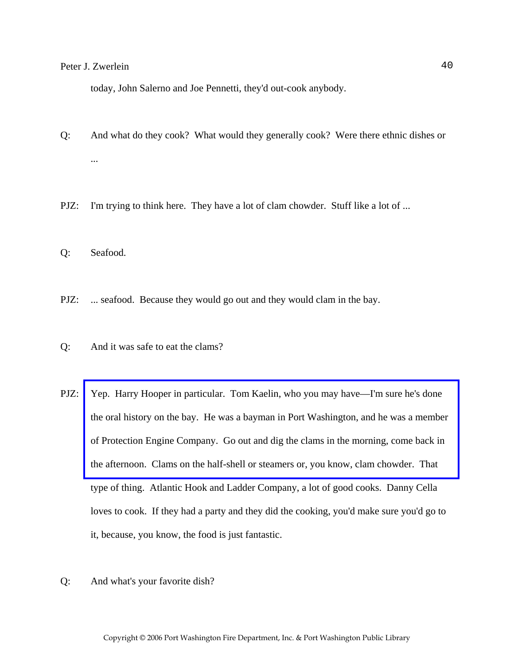today, John Salerno and Joe Pennetti, they'd out-cook anybody.

- Q: And what do they cook? What would they generally cook? Were there ethnic dishes or ...
- PJZ: I'm trying to think here. They have a lot of clam chowder. Stuff like a lot of ...
- Q: Seafood.
- PJZ: ... seafood. Because they would go out and they would clam in the bay.
- Q: And it was safe to eat the clams?
- PJZ: [Yep. Harry Hooper in particular. Tom Kaelin, who you may have—I'm sure he's done](http://www.pwfdhistory.com/trans/zwerleinp_trans/news_cocks384a.pdf)  the oral history on the bay. He was a bayman in Port Washington, and he was a member of Protection Engine Company. Go out and dig the clams in the morning, come back in the afternoon. Clams on the half-shell or steamers or, you know, clam chowder. That type of thing. Atlantic Hook and Ladder Company, a lot of good cooks. Danny Cella loves to cook. If they had a party and they did the cooking, you'd make sure you'd go to it, because, you know, the food is just fantastic.
- Q: And what's your favorite dish?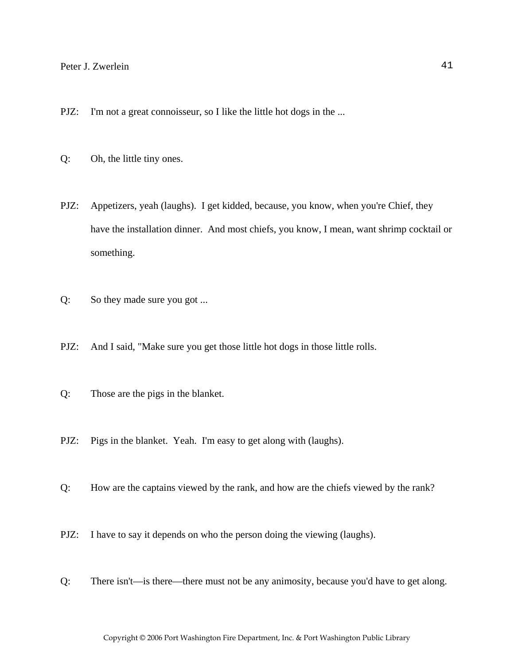- PJZ: I'm not a great connoisseur, so I like the little hot dogs in the ...
- Q: Oh, the little tiny ones.
- PJZ: Appetizers, yeah (laughs). I get kidded, because, you know, when you're Chief, they have the installation dinner. And most chiefs, you know, I mean, want shrimp cocktail or something.
- Q: So they made sure you got ...
- PJZ: And I said, "Make sure you get those little hot dogs in those little rolls.
- Q: Those are the pigs in the blanket.
- PJZ: Pigs in the blanket. Yeah. I'm easy to get along with (laughs).
- Q: How are the captains viewed by the rank, and how are the chiefs viewed by the rank?
- PJZ: I have to say it depends on who the person doing the viewing (laughs).
- Q: There isn't—is there—there must not be any animosity, because you'd have to get along.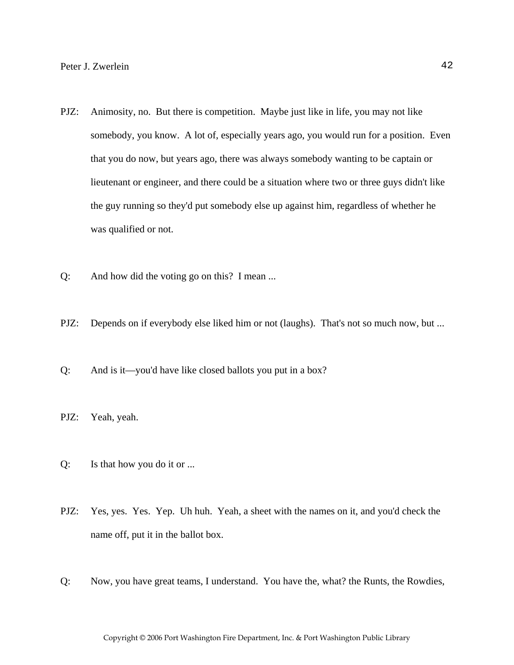- PJZ: Animosity, no. But there is competition. Maybe just like in life, you may not like somebody, you know. A lot of, especially years ago, you would run for a position. Even that you do now, but years ago, there was always somebody wanting to be captain or lieutenant or engineer, and there could be a situation where two or three guys didn't like the guy running so they'd put somebody else up against him, regardless of whether he was qualified or not.
- Q: And how did the voting go on this? I mean ...
- PJZ: Depends on if everybody else liked him or not (laughs). That's not so much now, but ...
- Q: And is it—you'd have like closed ballots you put in a box?
- PJZ: Yeah, yeah.
- Q: Is that how you do it or ...
- PJZ: Yes, yes. Yes. Yep. Uh huh. Yeah, a sheet with the names on it, and you'd check the name off, put it in the ballot box.
- Q: Now, you have great teams, I understand. You have the, what? the Runts, the Rowdies,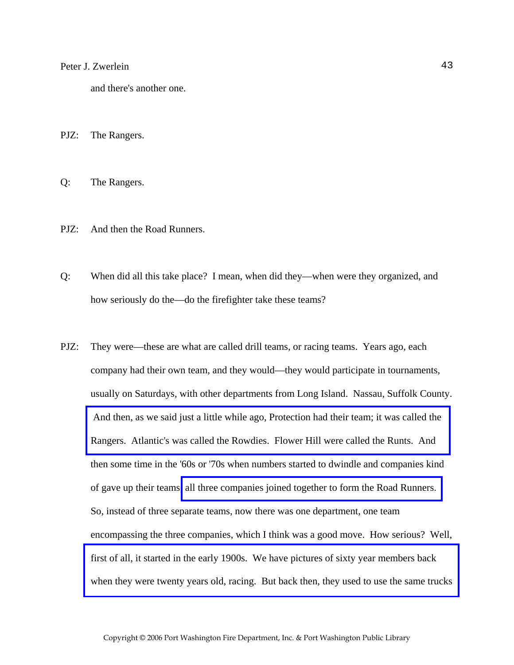and there's another one.

PJZ: The Rangers.

Q: The Rangers.

- PJZ: And then the Road Runners.
- Q: When did all this take place? I mean, when did they—when were they organized, and how seriously do the—do the firefighter take these teams?
- PJZ: They were—these are what are called drill teams, or racing teams. Years ago, each company had their own team, and they would—they would participate in tournaments, usually on Saturdays, with other departments from Long Island. Nassau, Suffolk County.  [And then, as we said just a little while ago, Protection had their team; it was called the](http://www.pwfdhistory.com/trans/zwerleinp_trans/pwfd_racing029.pdf)  Rangers. Atlantic's was called the Rowdies. Flower Hill were called the Runts. And then some time in the '60s or '70s when numbers started to dwindle and companies kind of gave up their teams[, all three companies joined together to form the Road Runners.](http://www.pwfdhistory.com/trans/zwerleinp_trans/pwfd_racing007_web2.jpg)  So, instead of three separate teams, now there was one department, one team encompassing the three companies, which I think was a good move. How serious? Well, first of all, it started in the early 1900s. We have pictures of sixty year members back [when they were twenty years old, racing. But back then, they used to use the same trucks](http://www.pwfdhistory.com/trans/zwerleinp_trans/peco_racing12_web.jpg)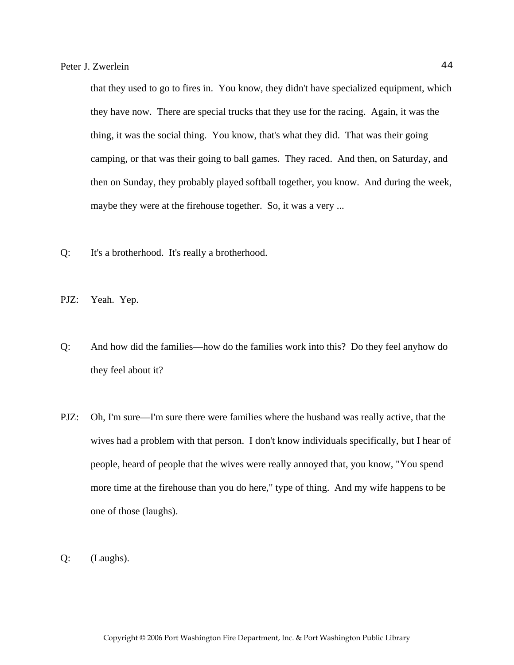that they used to go to fires in. You know, they didn't have specialized equipment, which they have now. There are special trucks that they use for the racing. Again, it was the thing, it was the social thing. You know, that's what they did. That was their going camping, or that was their going to ball games. They raced. And then, on Saturday, and then on Sunday, they probably played softball together, you know. And during the week, maybe they were at the firehouse together. So, it was a very ...

Q: It's a brotherhood. It's really a brotherhood.

PJZ: Yeah. Yep.

- Q: And how did the families—how do the families work into this? Do they feel anyhow do they feel about it?
- PJZ: Oh, I'm sure—I'm sure there were families where the husband was really active, that the wives had a problem with that person. I don't know individuals specifically, but I hear of people, heard of people that the wives were really annoyed that, you know, "You spend more time at the firehouse than you do here," type of thing. And my wife happens to be one of those (laughs).
- Q: (Laughs).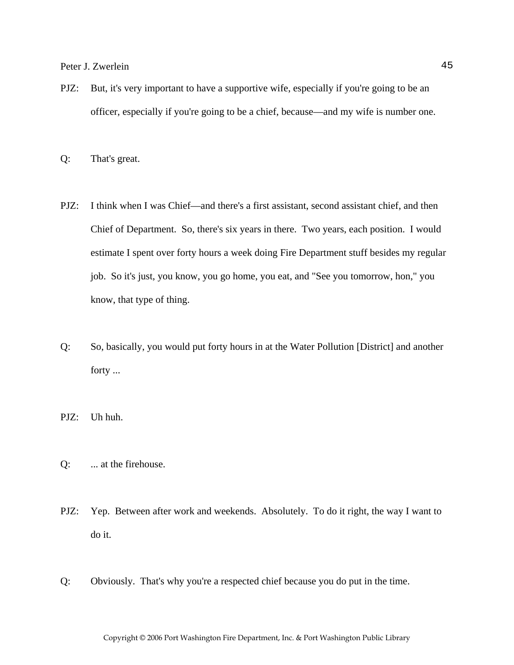PJZ: But, it's very important to have a supportive wife, especially if you're going to be an officer, especially if you're going to be a chief, because—and my wife is number one.

Q: That's great.

- PJZ: I think when I was Chief—and there's a first assistant, second assistant chief, and then Chief of Department. So, there's six years in there. Two years, each position. I would estimate I spent over forty hours a week doing Fire Department stuff besides my regular job. So it's just, you know, you go home, you eat, and "See you tomorrow, hon," you know, that type of thing.
- Q: So, basically, you would put forty hours in at the Water Pollution [District] and another forty ...

PJZ: Uh huh.

- Q: ... at the firehouse.
- PJZ: Yep. Between after work and weekends. Absolutely. To do it right, the way I want to do it.
- Q: Obviously. That's why you're a respected chief because you do put in the time.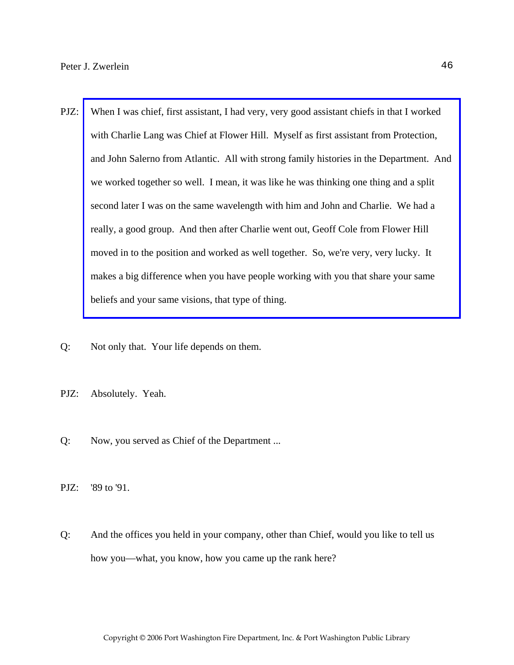- PJZ: When I was chief, first assistant, I had very, very good assistant chiefs in that I worked with Charlie Lang was Chief at Flower Hill. Myself as first assistant from Protection, [and John Salerno from Atlantic. All with strong family histories in the Department. And](http://www.pwfdhistory.com/trans/zwerleinp_trans/pwfd_officers008_web.jpg)  we worked together so well. I mean, it was like he was thinking one thing and a split second later I was on the same wavelength with him and John and Charlie. We had a really, a good group. And then after Charlie went out, Geoff Cole from Flower Hill moved in to the position and worked as well together. So, we're very, very lucky. It makes a big difference when you have people working with you that share your same beliefs and your same visions, that type of thing.
- Q: Not only that. Your life depends on them.
- PJZ: Absolutely. Yeah.
- Q: Now, you served as Chief of the Department ...
- PJZ: '89 to '91.
- Q: And the offices you held in your company, other than Chief, would you like to tell us how you—what, you know, how you came up the rank here?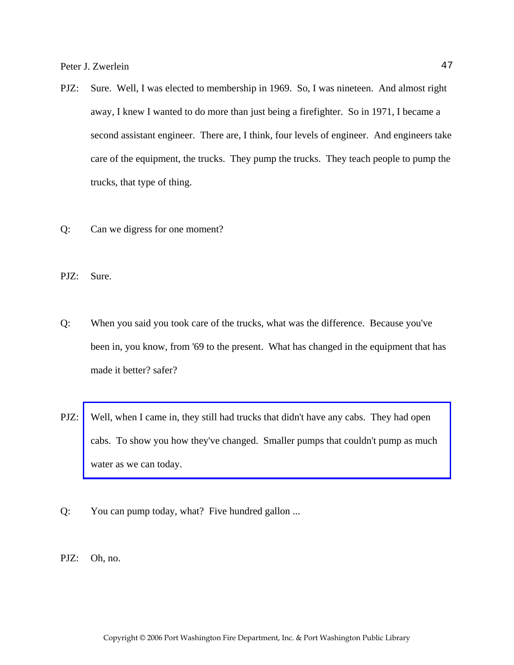- PJZ: Sure. Well, I was elected to membership in 1969. So, I was nineteen. And almost right away, I knew I wanted to do more than just being a firefighter. So in 1971, I became a second assistant engineer. There are, I think, four levels of engineer. And engineers take care of the equipment, the trucks. They pump the trucks. They teach people to pump the trucks, that type of thing.
- Q: Can we digress for one moment?
- PJZ: Sure.
- Q: When you said you took care of the trucks, what was the difference. Because you've been in, you know, from '69 to the present. What has changed in the equipment that has made it better? safer?
- PJZ: [Well, when I came in, they still had trucks that didn't have any cabs. They had open](http://www.pwfdhistory.com/trans/zwerleinp_trans/peco_trucks023a.pdf)  cabs. To show you how they've changed. Smaller pumps that couldn't pump as much water as we can today.
- Q: You can pump today, what? Five hundred gallon ...
- PJZ: Oh, no.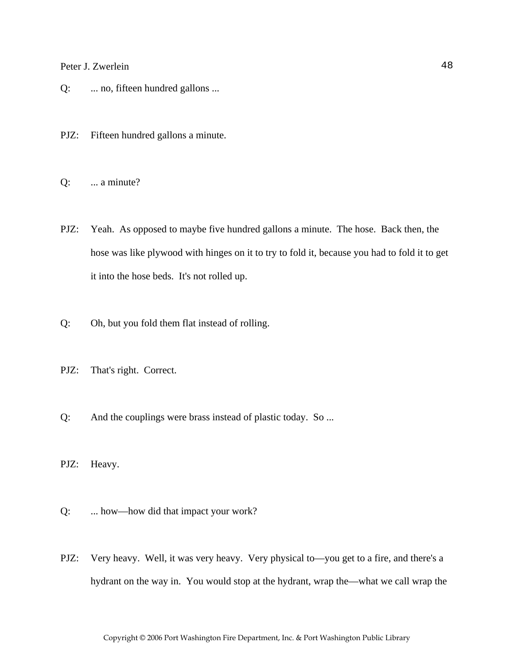- Q: ... no, fifteen hundred gallons ...
- PJZ: Fifteen hundred gallons a minute.
- Q: ... a minute?
- PJZ: Yeah. As opposed to maybe five hundred gallons a minute. The hose. Back then, the hose was like plywood with hinges on it to try to fold it, because you had to fold it to get it into the hose beds. It's not rolled up.
- Q: Oh, but you fold them flat instead of rolling.
- PJZ: That's right. Correct.
- Q: And the couplings were brass instead of plastic today. So ...
- PJZ: Heavy.
- Q: ... how—how did that impact your work?
- PJZ: Very heavy. Well, it was very heavy. Very physical to—you get to a fire, and there's a hydrant on the way in. You would stop at the hydrant, wrap the—what we call wrap the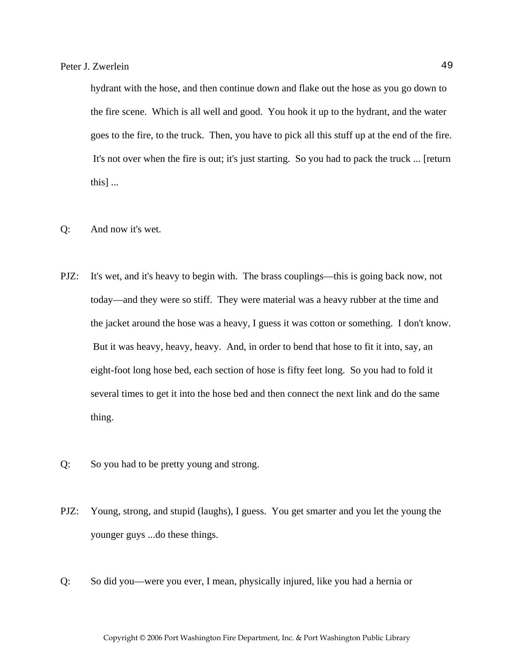hydrant with the hose, and then continue down and flake out the hose as you go down to the fire scene. Which is all well and good. You hook it up to the hydrant, and the water goes to the fire, to the truck. Then, you have to pick all this stuff up at the end of the fire. It's not over when the fire is out; it's just starting. So you had to pack the truck ... [return this] ...

- Q: And now it's wet.
- PJZ: It's wet, and it's heavy to begin with. The brass couplings—this is going back now, not today—and they were so stiff. They were material was a heavy rubber at the time and the jacket around the hose was a heavy, I guess it was cotton or something. I don't know. But it was heavy, heavy, heavy. And, in order to bend that hose to fit it into, say, an eight-foot long hose bed, each section of hose is fifty feet long. So you had to fold it several times to get it into the hose bed and then connect the next link and do the same thing.
- Q: So you had to be pretty young and strong.
- PJZ: Young, strong, and stupid (laughs), I guess. You get smarter and you let the young the younger guys ...do these things.
- Q: So did you—were you ever, I mean, physically injured, like you had a hernia or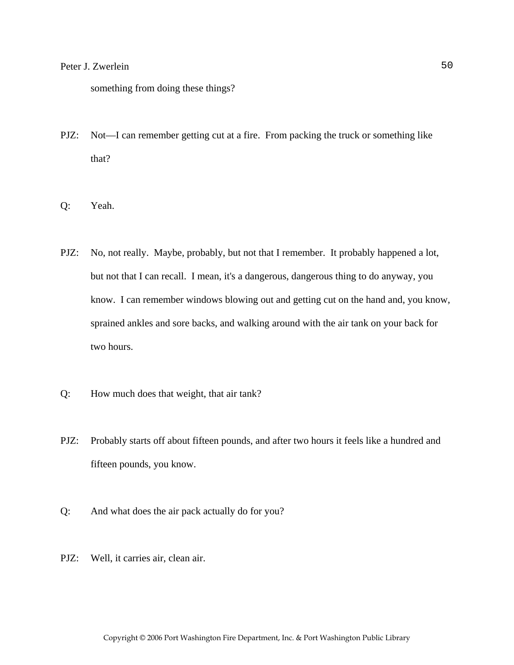something from doing these things?

- PJZ: Not—I can remember getting cut at a fire. From packing the truck or something like that?
- Q: Yeah.
- PJZ: No, not really. Maybe, probably, but not that I remember. It probably happened a lot, but not that I can recall. I mean, it's a dangerous, dangerous thing to do anyway, you know. I can remember windows blowing out and getting cut on the hand and, you know, sprained ankles and sore backs, and walking around with the air tank on your back for two hours.
- Q: How much does that weight, that air tank?
- PJZ: Probably starts off about fifteen pounds, and after two hours it feels like a hundred and fifteen pounds, you know.
- Q: And what does the air pack actually do for you?
- PJZ: Well, it carries air, clean air.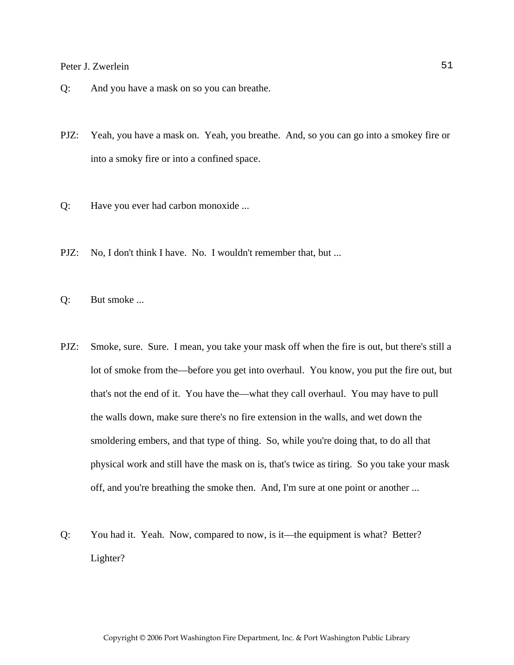- Q: And you have a mask on so you can breathe.
- PJZ: Yeah, you have a mask on. Yeah, you breathe. And, so you can go into a smokey fire or into a smoky fire or into a confined space.
- Q: Have you ever had carbon monoxide ...
- PJZ: No, I don't think I have. No. I wouldn't remember that, but ...
- Q: But smoke ...
- PJZ: Smoke, sure. Sure. I mean, you take your mask off when the fire is out, but there's still a lot of smoke from the—before you get into overhaul. You know, you put the fire out, but that's not the end of it. You have the—what they call overhaul. You may have to pull the walls down, make sure there's no fire extension in the walls, and wet down the smoldering embers, and that type of thing. So, while you're doing that, to do all that physical work and still have the mask on is, that's twice as tiring. So you take your mask off, and you're breathing the smoke then. And, I'm sure at one point or another ...
- Q: You had it. Yeah. Now, compared to now, is it—the equipment is what? Better? Lighter?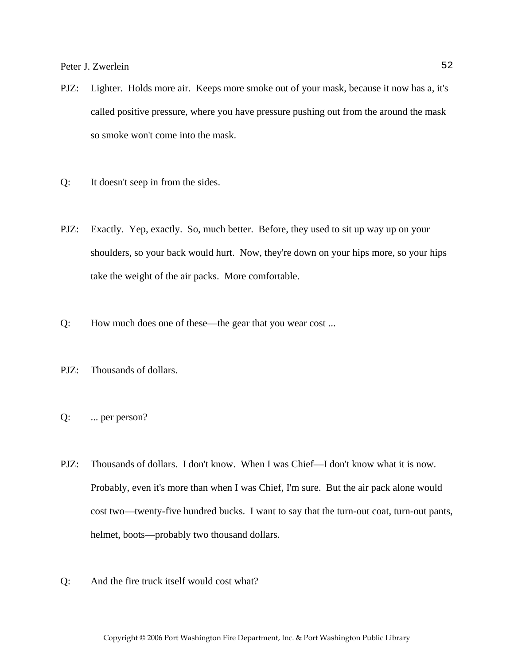- PJZ: Lighter. Holds more air. Keeps more smoke out of your mask, because it now has a, it's called positive pressure, where you have pressure pushing out from the around the mask so smoke won't come into the mask.
- Q: It doesn't seep in from the sides.
- PJZ: Exactly. Yep, exactly. So, much better. Before, they used to sit up way up on your shoulders, so your back would hurt. Now, they're down on your hips more, so your hips take the weight of the air packs. More comfortable.
- Q: How much does one of these—the gear that you wear cost ...
- PJZ: Thousands of dollars.
- Q: ... per person?
- PJZ: Thousands of dollars. I don't know. When I was Chief—I don't know what it is now. Probably, even it's more than when I was Chief, I'm sure. But the air pack alone would cost two—twenty-five hundred bucks. I want to say that the turn-out coat, turn-out pants, helmet, boots—probably two thousand dollars.
- Q: And the fire truck itself would cost what?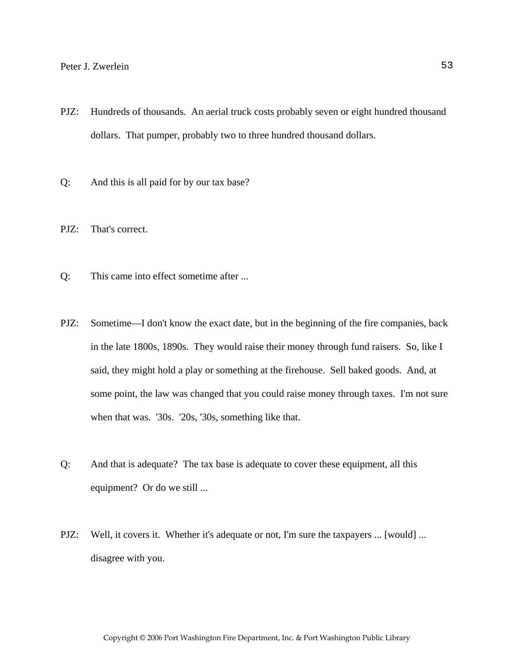- PJZ: Hundreds of thousands. An aerial truck costs probably seven or eight hundred thousand dollars. That pumper, probably two to three hundred thousand dollars.
- Q: And this is all paid for by our tax base?
- PJZ: That's correct.
- Q: This came into effect sometime after ...
- PJZ: Sometime—I don't know the exact date, but in the beginning of the fire companies, back in the late 1800s, 1890s. They would raise their money through fund raisers. So, like I said, they might hold a play or something at the firehouse. Sell baked goods. And, at some point, the law was changed that you could raise money through taxes. I'm not sure when that was. '30s. '20s, '30s, something like that.
- Q: And that is adequate? The tax base is adequate to cover these equipment, all this equipment? Or do we still ...
- PJZ: Well, it covers it. Whether it's adequate or not, I'm sure the taxpayers ... [would] ... disagree with you.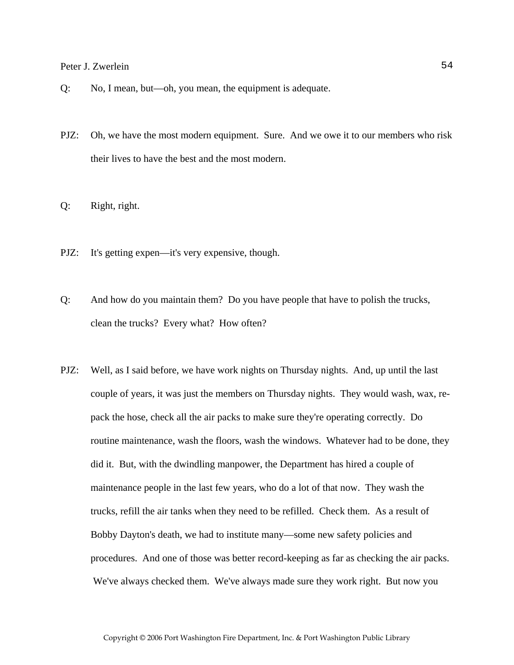- Q: No, I mean, but—oh, you mean, the equipment is adequate.
- PJZ: Oh, we have the most modern equipment. Sure. And we owe it to our members who risk their lives to have the best and the most modern.
- Q: Right, right.
- PJZ: It's getting expen—it's very expensive, though.
- Q: And how do you maintain them? Do you have people that have to polish the trucks, clean the trucks? Every what? How often?
- PJZ: Well, as I said before, we have work nights on Thursday nights. And, up until the last couple of years, it was just the members on Thursday nights. They would wash, wax, repack the hose, check all the air packs to make sure they're operating correctly. Do routine maintenance, wash the floors, wash the windows. Whatever had to be done, they did it. But, with the dwindling manpower, the Department has hired a couple of maintenance people in the last few years, who do a lot of that now. They wash the trucks, refill the air tanks when they need to be refilled. Check them. As a result of Bobby Dayton's death, we had to institute many—some new safety policies and procedures. And one of those was better record-keeping as far as checking the air packs. We've always checked them. We've always made sure they work right. But now you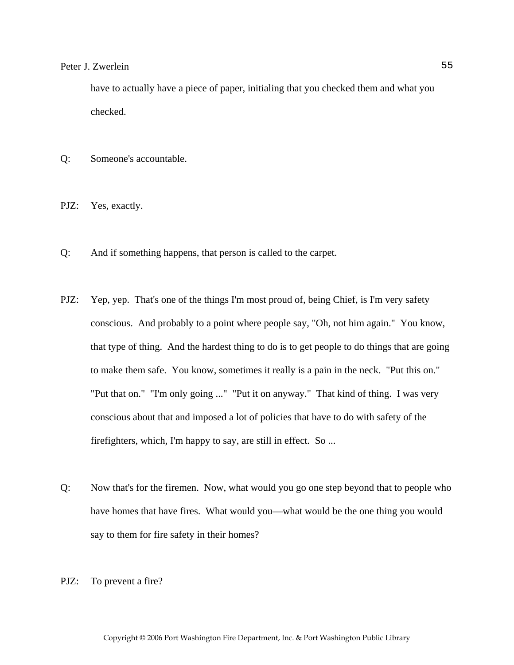have to actually have a piece of paper, initialing that you checked them and what you checked.

- Q: Someone's accountable.
- PJZ: Yes, exactly.
- Q: And if something happens, that person is called to the carpet.
- PJZ: Yep, yep. That's one of the things I'm most proud of, being Chief, is I'm very safety conscious. And probably to a point where people say, "Oh, not him again." You know, that type of thing. And the hardest thing to do is to get people to do things that are going to make them safe. You know, sometimes it really is a pain in the neck. "Put this on." "Put that on." "I'm only going ..." "Put it on anyway." That kind of thing. I was very conscious about that and imposed a lot of policies that have to do with safety of the firefighters, which, I'm happy to say, are still in effect. So ...
- Q: Now that's for the firemen. Now, what would you go one step beyond that to people who have homes that have fires. What would you—what would be the one thing you would say to them for fire safety in their homes?
- PJZ: To prevent a fire?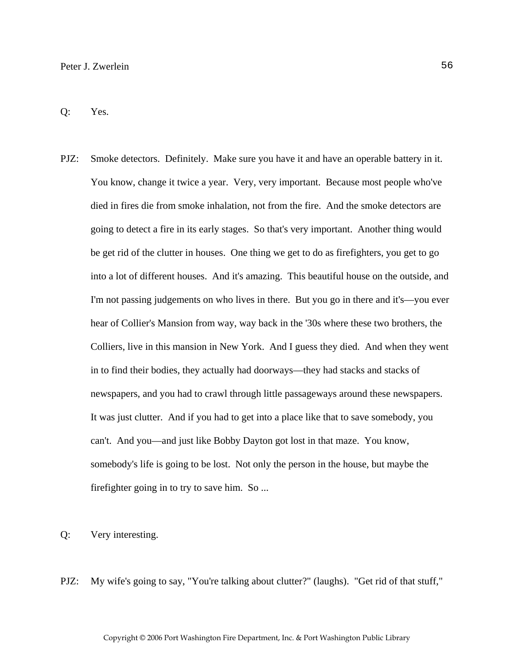Q: Yes.

PJZ: Smoke detectors. Definitely. Make sure you have it and have an operable battery in it. You know, change it twice a year. Very, very important. Because most people who've died in fires die from smoke inhalation, not from the fire. And the smoke detectors are going to detect a fire in its early stages. So that's very important. Another thing would be get rid of the clutter in houses. One thing we get to do as firefighters, you get to go into a lot of different houses. And it's amazing. This beautiful house on the outside, and I'm not passing judgements on who lives in there. But you go in there and it's—you ever hear of Collier's Mansion from way, way back in the '30s where these two brothers, the Colliers, live in this mansion in New York. And I guess they died. And when they went in to find their bodies, they actually had doorways—they had stacks and stacks of newspapers, and you had to crawl through little passageways around these newspapers. It was just clutter. And if you had to get into a place like that to save somebody, you can't. And you—and just like Bobby Dayton got lost in that maze. You know, somebody's life is going to be lost. Not only the person in the house, but maybe the firefighter going in to try to save him. So ...

Q: Very interesting.

PJZ: My wife's going to say, "You're talking about clutter?" (laughs). "Get rid of that stuff,"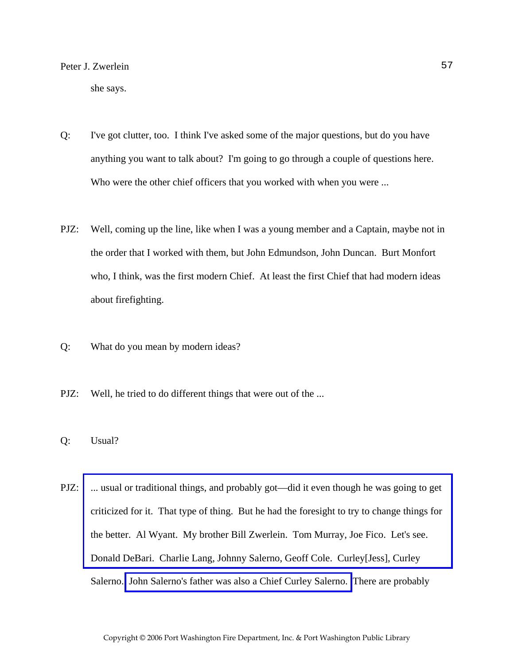she says.

- Q: I've got clutter, too. I think I've asked some of the major questions, but do you have anything you want to talk about? I'm going to go through a couple of questions here. Who were the other chief officers that you worked with when you were ...
- PJZ: Well, coming up the line, like when I was a young member and a Captain, maybe not in the order that I worked with them, but John Edmundson, John Duncan. Burt Monfort who, I think, was the first modern Chief. At least the first Chief that had modern ideas about firefighting.
- Q: What do you mean by modern ideas?
- PJZ: Well, he tried to do different things that were out of the ...
- Q: Usual?
- PJZ: ... usual or traditional things, and probably got—did it even though he was going to get criticized for it. That type of thing. But he had the foresight to try to change things for the better. Al Wyant. My brother Bill Zwerlein. Tom Murray, Joe Fico. Let's see. Donald DeBari. Charlie Lang, Johnny Salerno, Geoff Cole. Curley[Jess], Curley Salerno. [John Salerno's father was also a Chief Curley Salerno.](http://www.pwfdhistory.com/trans/zwerleinp_trans/pwfd_news028a.pdf) There are probably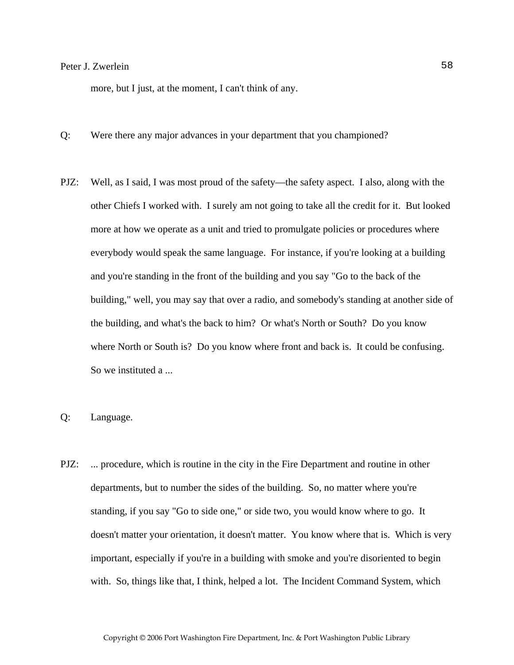more, but I just, at the moment, I can't think of any.

- Q: Were there any major advances in your department that you championed?
- PJZ: Well, as I said, I was most proud of the safety—the safety aspect. I also, along with the other Chiefs I worked with. I surely am not going to take all the credit for it. But looked more at how we operate as a unit and tried to promulgate policies or procedures where everybody would speak the same language. For instance, if you're looking at a building and you're standing in the front of the building and you say "Go to the back of the building," well, you may say that over a radio, and somebody's standing at another side of the building, and what's the back to him? Or what's North or South? Do you know where North or South is? Do you know where front and back is. It could be confusing. So we instituted a ...
- Q: Language.
- PJZ: ... procedure, which is routine in the city in the Fire Department and routine in other departments, but to number the sides of the building. So, no matter where you're standing, if you say "Go to side one," or side two, you would know where to go. It doesn't matter your orientation, it doesn't matter. You know where that is. Which is very important, especially if you're in a building with smoke and you're disoriented to begin with. So, things like that, I think, helped a lot. The Incident Command System, which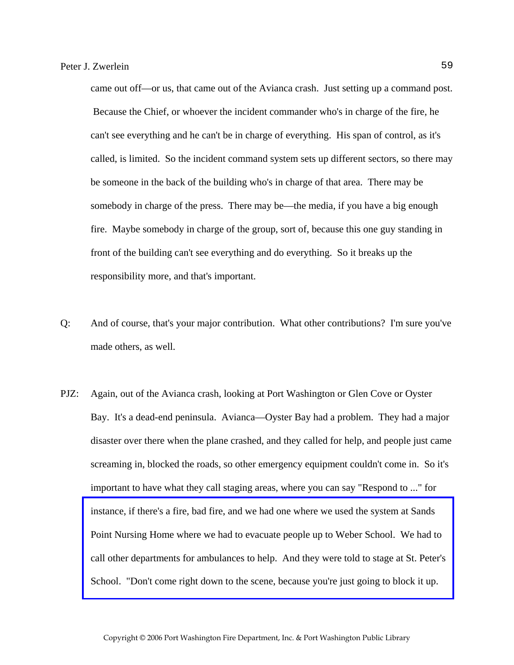came out off—or us, that came out of the Avianca crash. Just setting up a command post. Because the Chief, or whoever the incident commander who's in charge of the fire, he can't see everything and he can't be in charge of everything. His span of control, as it's called, is limited. So the incident command system sets up different sectors, so there may be someone in the back of the building who's in charge of that area. There may be somebody in charge of the press. There may be—the media, if you have a big enough fire. Maybe somebody in charge of the group, sort of, because this one guy standing in front of the building can't see everything and do everything. So it breaks up the responsibility more, and that's important.

- Q: And of course, that's your major contribution. What other contributions? I'm sure you've made others, as well.
- PJZ: Again, out of the Avianca crash, looking at Port Washington or Glen Cove or Oyster Bay. It's a dead-end peninsula. Avianca—Oyster Bay had a problem. They had a major disaster over there when the plane crashed, and they called for help, and people just came screaming in, blocked the roads, so other emergency equipment couldn't come in. So it's important to have what they call staging areas, where you can say "Respond to ..." for instance, if there's a fire, bad fire, and we had one where we used the system at Sands Point Nursing Home where we had to evacuate people up to Weber School. We had to [call other departments for ambulances to help. And they were told to stage at St. Peter's](http://www.pwfdhistory.com/trans/zwerleinp_trans/pwfd_news_spnh.pdf)  School. "Don't come right down to the scene, because you're just going to block it up.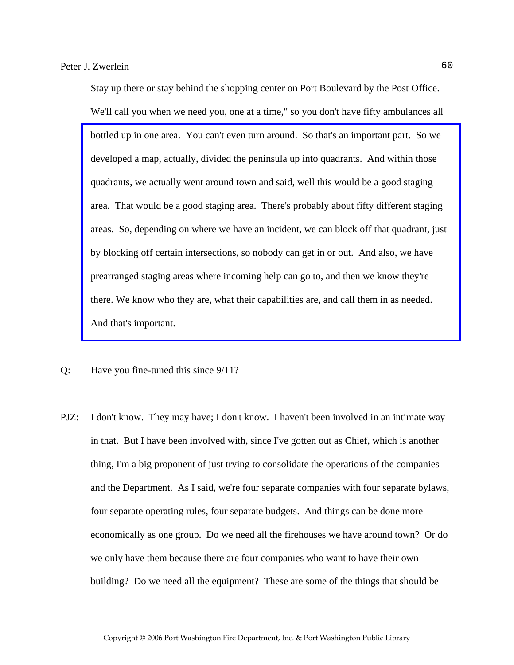Stay up there or stay behind the shopping center on Port Boulevard by the Post Office. We'll call you when we need you, one at a time," so you don't have fifty ambulances all bottled up in one area. You can't even turn around. So that's an important part. So we developed a map, actually, divided the peninsula up into quadrants. And within those quadrants, we actually went around town and said, well this would be a good staging area. That would be a good staging area. There's probably about fifty different staging [areas. So, depending on where we have an incident, we can block off that quadrant, just](http://www.pwfdhistory.com/trans/zwerleinp_trans/scrapbk067a_pz.pdf)  by blocking off certain intersections, so nobody can get in or out. And also, we have prearranged staging areas where incoming help can go to, and then we know they're there. We know who they are, what their capabilities are, and call them in as needed. And that's important.

- Q: Have you fine-tuned this since 9/11?
- PJZ: I don't know. They may have; I don't know. I haven't been involved in an intimate way in that. But I have been involved with, since I've gotten out as Chief, which is another thing, I'm a big proponent of just trying to consolidate the operations of the companies and the Department. As I said, we're four separate companies with four separate bylaws, four separate operating rules, four separate budgets. And things can be done more economically as one group. Do we need all the firehouses we have around town? Or do we only have them because there are four companies who want to have their own building? Do we need all the equipment? These are some of the things that should be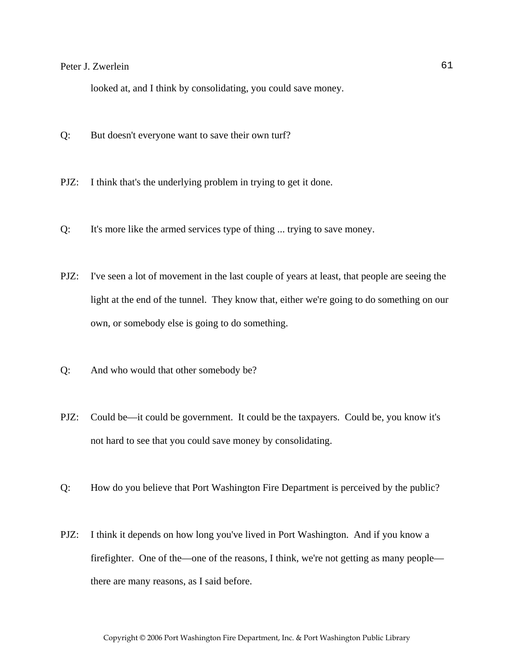looked at, and I think by consolidating, you could save money.

- Q: But doesn't everyone want to save their own turf?
- PJZ: I think that's the underlying problem in trying to get it done.
- Q: It's more like the armed services type of thing ... trying to save money.
- PJZ: I've seen a lot of movement in the last couple of years at least, that people are seeing the light at the end of the tunnel. They know that, either we're going to do something on our own, or somebody else is going to do something.
- Q: And who would that other somebody be?
- PJZ: Could be—it could be government. It could be the taxpayers. Could be, you know it's not hard to see that you could save money by consolidating.
- Q: How do you believe that Port Washington Fire Department is perceived by the public?
- PJZ: I think it depends on how long you've lived in Port Washington. And if you know a firefighter. One of the—one of the reasons, I think, we're not getting as many people there are many reasons, as I said before.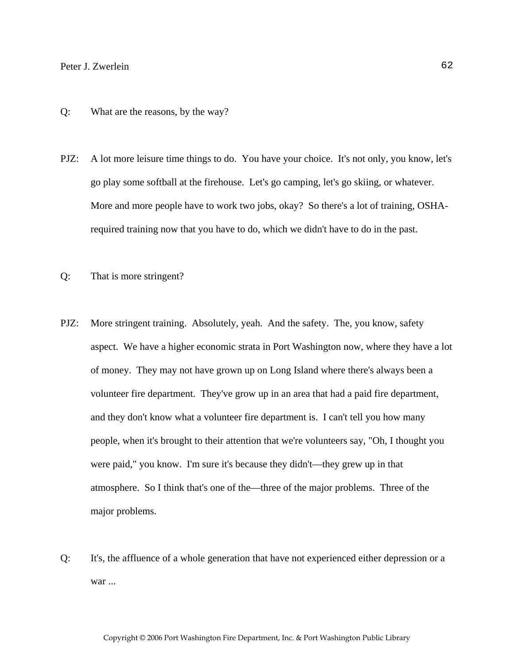#### Q: What are the reasons, by the way?

- PJZ: A lot more leisure time things to do. You have your choice. It's not only, you know, let's go play some softball at the firehouse. Let's go camping, let's go skiing, or whatever. More and more people have to work two jobs, okay? So there's a lot of training, OSHArequired training now that you have to do, which we didn't have to do in the past.
- Q: That is more stringent?
- PJZ: More stringent training. Absolutely, yeah. And the safety. The, you know, safety aspect. We have a higher economic strata in Port Washington now, where they have a lot of money. They may not have grown up on Long Island where there's always been a volunteer fire department. They've grow up in an area that had a paid fire department, and they don't know what a volunteer fire department is. I can't tell you how many people, when it's brought to their attention that we're volunteers say, "Oh, I thought you were paid," you know. I'm sure it's because they didn't—they grew up in that atmosphere. So I think that's one of the—three of the major problems. Three of the major problems.
- Q: It's, the affluence of a whole generation that have not experienced either depression or a war ...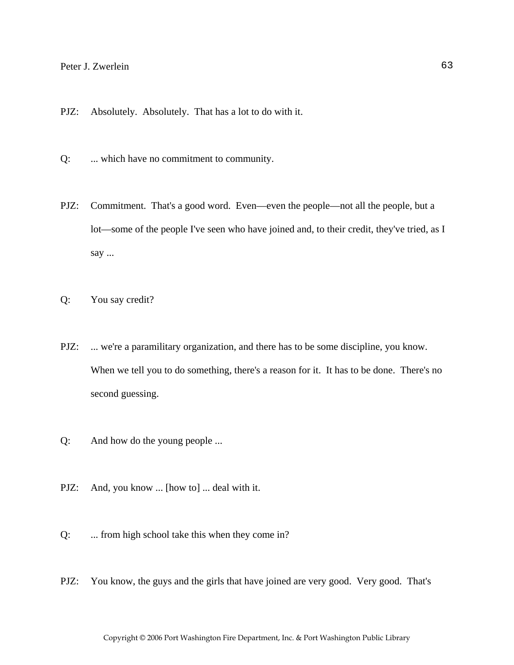- PJZ: Absolutely. Absolutely. That has a lot to do with it.
- Q: ... which have no commitment to community.
- PJZ: Commitment. That's a good word. Even—even the people—not all the people, but a lot—some of the people I've seen who have joined and, to their credit, they've tried, as I say ...
- Q: You say credit?
- PJZ: ... we're a paramilitary organization, and there has to be some discipline, you know. When we tell you to do something, there's a reason for it. It has to be done. There's no second guessing.
- Q: And how do the young people ...
- PJZ: And, you know ... [how to] ... deal with it.
- Q: ... from high school take this when they come in?
- PJZ: You know, the guys and the girls that have joined are very good. Very good. That's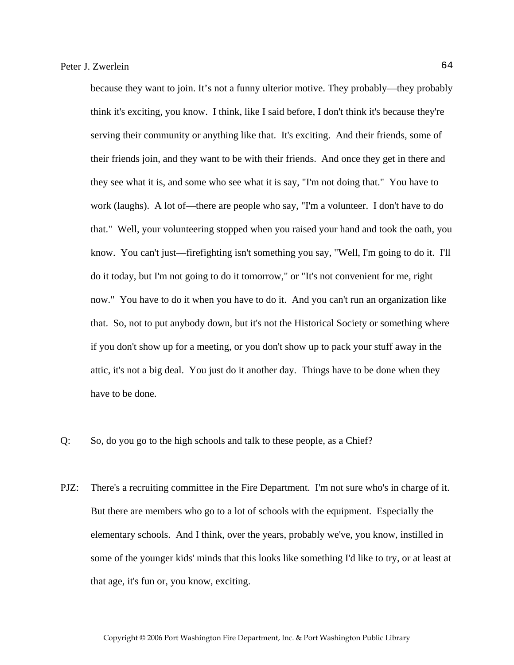because they want to join. It's not a funny ulterior motive. They probably—they probably think it's exciting, you know. I think, like I said before, I don't think it's because they're serving their community or anything like that. It's exciting. And their friends, some of their friends join, and they want to be with their friends. And once they get in there and they see what it is, and some who see what it is say, "I'm not doing that." You have to work (laughs). A lot of—there are people who say, "I'm a volunteer. I don't have to do that." Well, your volunteering stopped when you raised your hand and took the oath, you know. You can't just—firefighting isn't something you say, "Well, I'm going to do it. I'll do it today, but I'm not going to do it tomorrow," or "It's not convenient for me, right now." You have to do it when you have to do it. And you can't run an organization like that. So, not to put anybody down, but it's not the Historical Society or something where if you don't show up for a meeting, or you don't show up to pack your stuff away in the attic, it's not a big deal. You just do it another day. Things have to be done when they have to be done.

Q: So, do you go to the high schools and talk to these people, as a Chief?

PJZ: There's a recruiting committee in the Fire Department. I'm not sure who's in charge of it. But there are members who go to a lot of schools with the equipment. Especially the elementary schools. And I think, over the years, probably we've, you know, instilled in some of the younger kids' minds that this looks like something I'd like to try, or at least at that age, it's fun or, you know, exciting.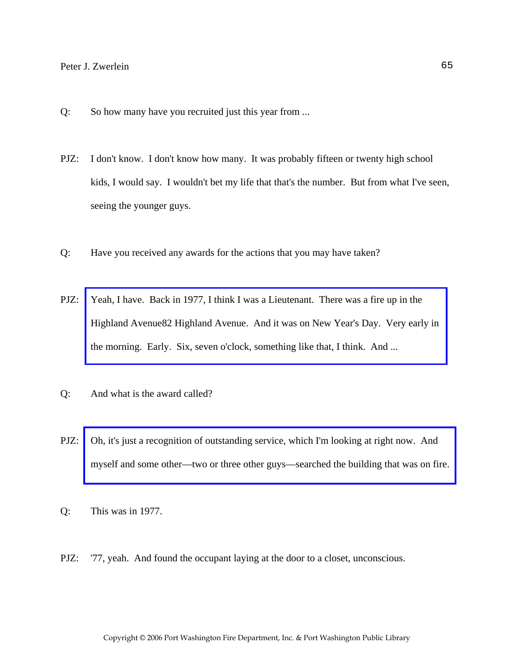- Q: So how many have you recruited just this year from ...
- PJZ: I don't know. I don't know how many. It was probably fifteen or twenty high school kids, I would say. I wouldn't bet my life that that's the number. But from what I've seen, seeing the younger guys.
- Q: Have you received any awards for the actions that you may have taken?
- PJZ: Yeah, I have. Back in 1977, I think I was a Lieutenant. There was a fire up in the [Highland Avenue82 Highland Avenue. And it was on New Year's Day. Very early in](http://www.pwfdhistory.com/trans/zwerleinp_trans/pwfd_news026a.pdf)  the morning. Early. Six, seven o'clock, something like that, I think. And ...
- Q: And what is the award called?
- PJZ: Oh, it's just a recognition of outstanding service, which I'm looking at right now. And [myself and some other—two or three other guys—searched the building that was on fire.](http://www.pwfdhistory.com/trans/zwerleinp_trans/award_highland_pz.pdf)
- Q: This was in 1977.
- PJZ: '77, yeah. And found the occupant laying at the door to a closet, unconscious.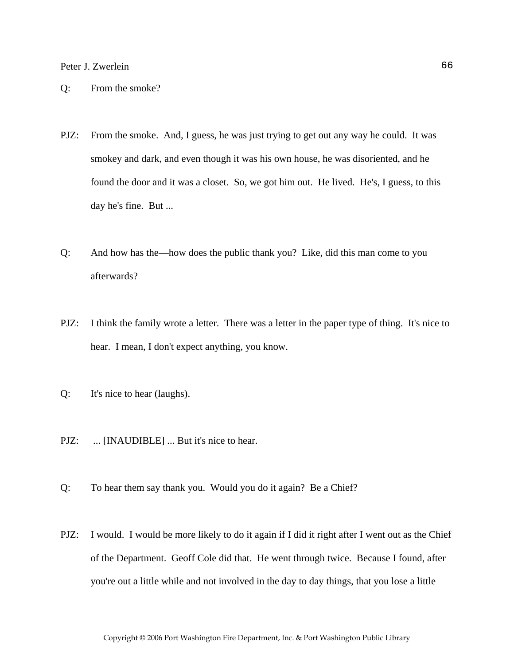- Q: From the smoke?
- PJZ: From the smoke. And, I guess, he was just trying to get out any way he could. It was smokey and dark, and even though it was his own house, he was disoriented, and he found the door and it was a closet. So, we got him out. He lived. He's, I guess, to this day he's fine. But ...
- Q: And how has the—how does the public thank you? Like, did this man come to you afterwards?
- PJZ: I think the family wrote a letter. There was a letter in the paper type of thing. It's nice to hear. I mean, I don't expect anything, you know.
- Q: It's nice to hear (laughs).
- PJZ: ... [INAUDIBLE] ... But it's nice to hear.
- Q: To hear them say thank you. Would you do it again? Be a Chief?
- PJZ: I would. I would be more likely to do it again if I did it right after I went out as the Chief of the Department. Geoff Cole did that. He went through twice. Because I found, after you're out a little while and not involved in the day to day things, that you lose a little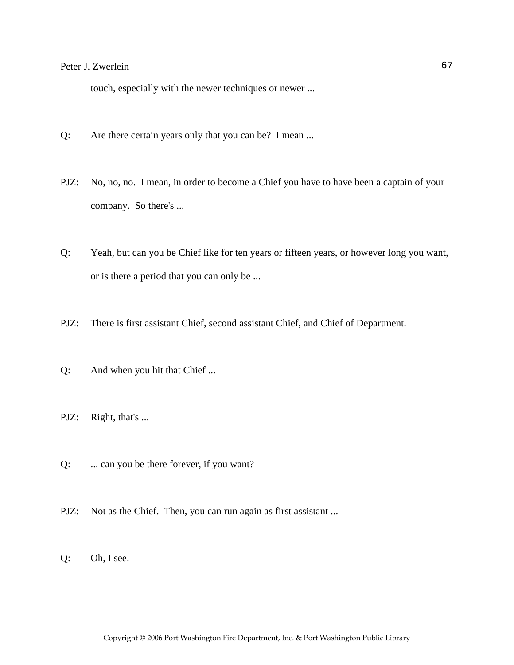touch, especially with the newer techniques or newer ...

- Q: Are there certain years only that you can be? I mean ...
- PJZ: No, no, no. I mean, in order to become a Chief you have to have been a captain of your company. So there's ...
- Q: Yeah, but can you be Chief like for ten years or fifteen years, or however long you want, or is there a period that you can only be ...
- PJZ: There is first assistant Chief, second assistant Chief, and Chief of Department.
- Q: And when you hit that Chief ...
- PJZ: Right, that's ...
- Q: ... can you be there forever, if you want?
- PJZ: Not as the Chief. Then, you can run again as first assistant ...
- Q: Oh, I see.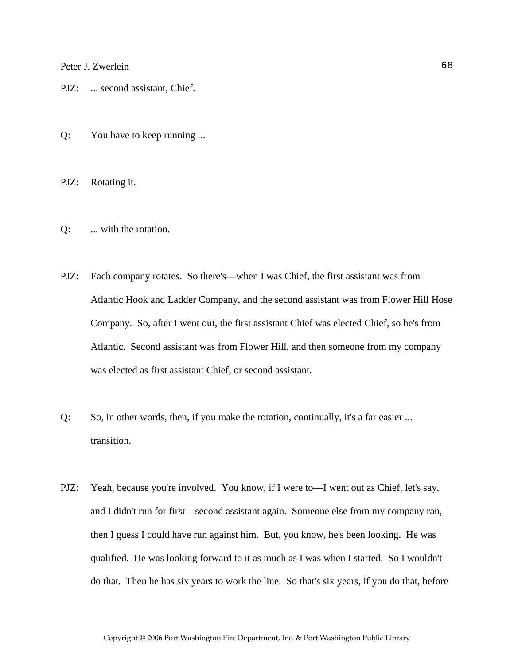PJZ: ... second assistant, Chief.

Q: You have to keep running ...

PJZ: Rotating it.

- Q: ... with the rotation.
- PJZ: Each company rotates. So there's—when I was Chief, the first assistant was from Atlantic Hook and Ladder Company, and the second assistant was from Flower Hill Hose Company. So, after I went out, the first assistant Chief was elected Chief, so he's from Atlantic. Second assistant was from Flower Hill, and then someone from my company was elected as first assistant Chief, or second assistant.
- Q: So, in other words, then, if you make the rotation, continually, it's a far easier ... transition.
- PJZ: Yeah, because you're involved. You know, if I were to—I went out as Chief, let's say, and I didn't run for first—second assistant again. Someone else from my company ran, then I guess I could have run against him. But, you know, he's been looking. He was qualified. He was looking forward to it as much as I was when I started. So I wouldn't do that. Then he has six years to work the line. So that's six years, if you do that, before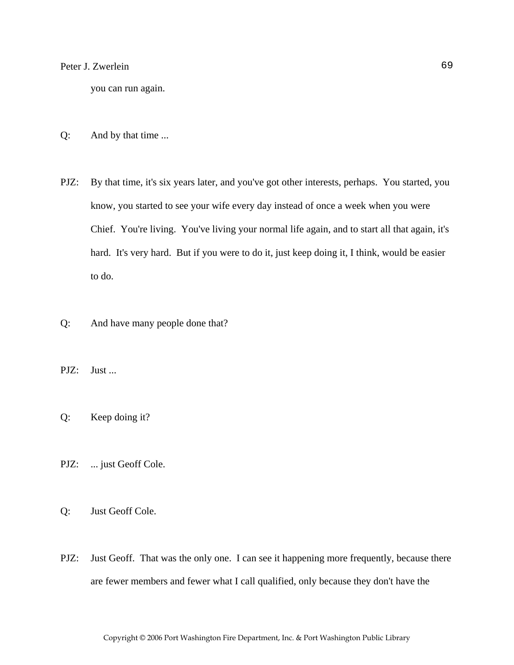you can run again.

- Q: And by that time ...
- PJZ: By that time, it's six years later, and you've got other interests, perhaps. You started, you know, you started to see your wife every day instead of once a week when you were Chief. You're living. You've living your normal life again, and to start all that again, it's hard. It's very hard. But if you were to do it, just keep doing it, I think, would be easier to do.
- Q: And have many people done that?
- PJZ: Just ...
- Q: Keep doing it?
- PJZ: ... just Geoff Cole.
- Q: Just Geoff Cole.
- PJZ: Just Geoff. That was the only one. I can see it happening more frequently, because there are fewer members and fewer what I call qualified, only because they don't have the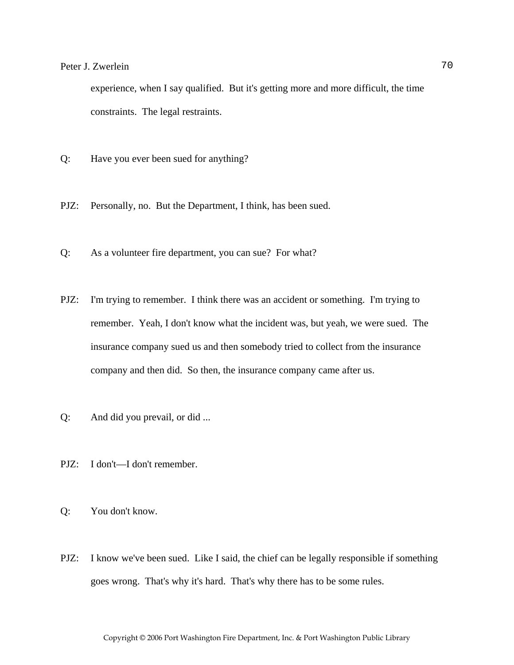experience, when I say qualified. But it's getting more and more difficult, the time constraints. The legal restraints.

- Q: Have you ever been sued for anything?
- PJZ: Personally, no. But the Department, I think, has been sued.
- Q: As a volunteer fire department, you can sue? For what?
- PJZ: I'm trying to remember. I think there was an accident or something. I'm trying to remember. Yeah, I don't know what the incident was, but yeah, we were sued. The insurance company sued us and then somebody tried to collect from the insurance company and then did. So then, the insurance company came after us.
- Q: And did you prevail, or did ...
- PJZ: I don't—I don't remember.
- Q: You don't know.
- PJZ: I know we've been sued. Like I said, the chief can be legally responsible if something goes wrong. That's why it's hard. That's why there has to be some rules.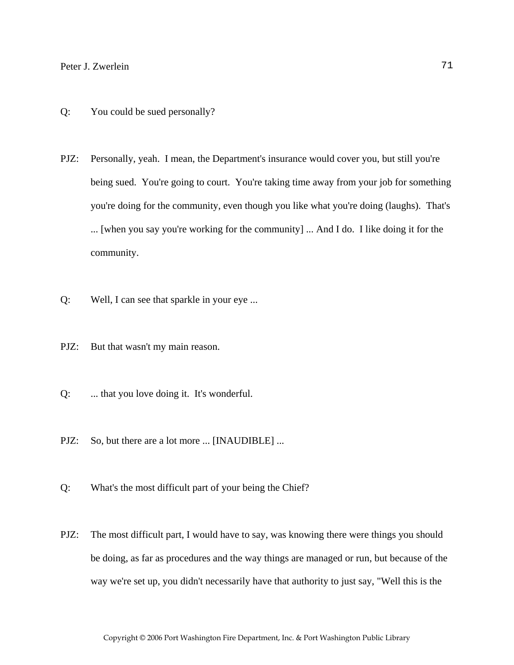- Q: You could be sued personally?
- PJZ: Personally, yeah. I mean, the Department's insurance would cover you, but still you're being sued. You're going to court. You're taking time away from your job for something you're doing for the community, even though you like what you're doing (laughs). That's ... [when you say you're working for the community] ... And I do. I like doing it for the community.
- Q: Well, I can see that sparkle in your eye ...
- PJZ: But that wasn't my main reason.
- Q: ... that you love doing it. It's wonderful.
- PJZ: So, but there are a lot more ... [INAUDIBLE] ...
- Q: What's the most difficult part of your being the Chief?
- PJZ: The most difficult part, I would have to say, was knowing there were things you should be doing, as far as procedures and the way things are managed or run, but because of the way we're set up, you didn't necessarily have that authority to just say, "Well this is the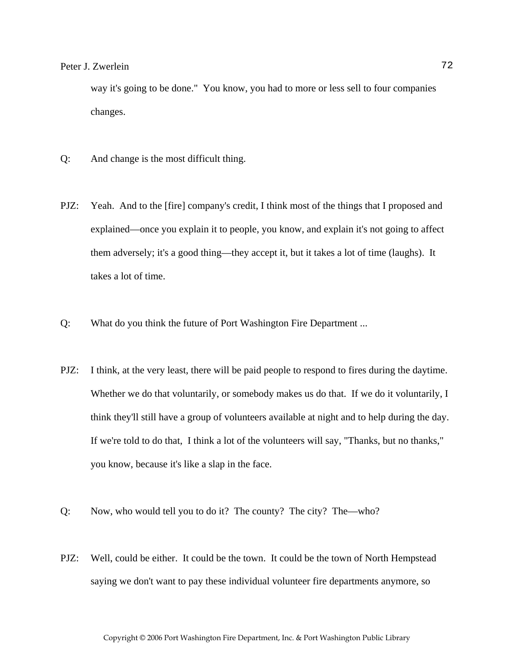## Peter J. Zwerlein 72

way it's going to be done." You know, you had to more or less sell to four companies changes.

- Q: And change is the most difficult thing.
- PJZ: Yeah. And to the [fire] company's credit, I think most of the things that I proposed and explained—once you explain it to people, you know, and explain it's not going to affect them adversely; it's a good thing—they accept it, but it takes a lot of time (laughs). It takes a lot of time.
- Q: What do you think the future of Port Washington Fire Department ...
- PJZ: I think, at the very least, there will be paid people to respond to fires during the daytime. Whether we do that voluntarily, or somebody makes us do that. If we do it voluntarily, I think they'll still have a group of volunteers available at night and to help during the day. If we're told to do that, I think a lot of the volunteers will say, "Thanks, but no thanks," you know, because it's like a slap in the face.
- Q: Now, who would tell you to do it? The county? The city? The—who?
- PJZ: Well, could be either. It could be the town. It could be the town of North Hempstead saying we don't want to pay these individual volunteer fire departments anymore, so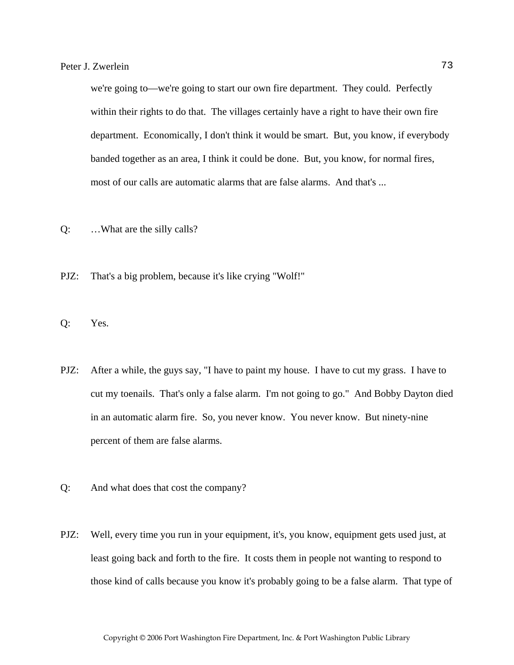we're going to—we're going to start our own fire department. They could. Perfectly within their rights to do that. The villages certainly have a right to have their own fire department. Economically, I don't think it would be smart. But, you know, if everybody banded together as an area, I think it could be done. But, you know, for normal fires, most of our calls are automatic alarms that are false alarms. And that's ...

- Q: …What are the silly calls?
- PJZ: That's a big problem, because it's like crying "Wolf!"
- Q: Yes.
- PJZ: After a while, the guys say, "I have to paint my house. I have to cut my grass. I have to cut my toenails. That's only a false alarm. I'm not going to go." And Bobby Dayton died in an automatic alarm fire. So, you never know. You never know. But ninety-nine percent of them are false alarms.
- Q: And what does that cost the company?
- PJZ: Well, every time you run in your equipment, it's, you know, equipment gets used just, at least going back and forth to the fire. It costs them in people not wanting to respond to those kind of calls because you know it's probably going to be a false alarm. That type of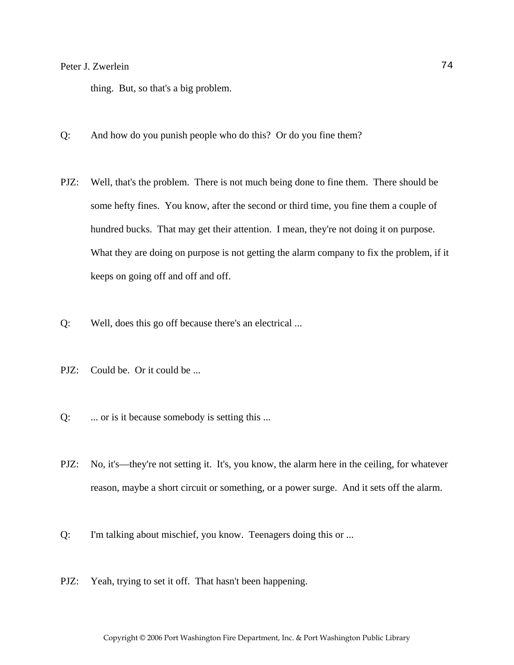## Peter J. Zwerlein 74

thing. But, so that's a big problem.

- Q: And how do you punish people who do this? Or do you fine them?
- PJZ: Well, that's the problem. There is not much being done to fine them. There should be some hefty fines. You know, after the second or third time, you fine them a couple of hundred bucks. That may get their attention. I mean, they're not doing it on purpose. What they are doing on purpose is not getting the alarm company to fix the problem, if it keeps on going off and off and off.
- Q: Well, does this go off because there's an electrical ...
- PJZ: Could be. Or it could be ...
- Q: ... or is it because somebody is setting this ...
- PJZ: No, it's—they're not setting it. It's, you know, the alarm here in the ceiling, for whatever reason, maybe a short circuit or something, or a power surge. And it sets off the alarm.
- Q: I'm talking about mischief, you know. Teenagers doing this or ...
- PJZ: Yeah, trying to set it off. That hasn't been happening.